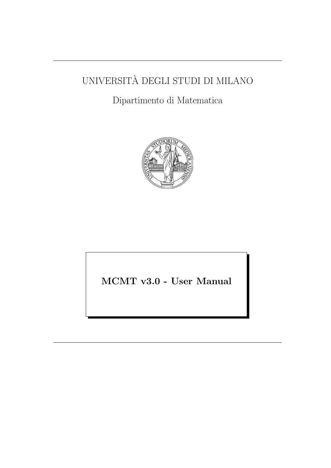# UNIVERSITA DEGLI STUDI DI MILANO `

## Dipartimento di Matematica



MCMT v3.0 - User Manual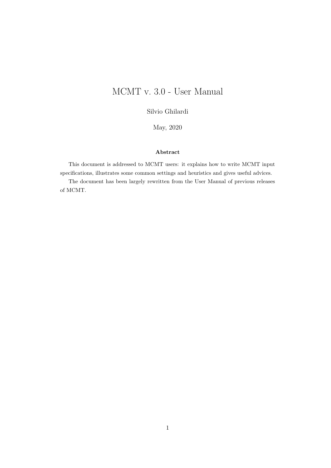## MCMT v. 3.0 - User Manual

Silvio Ghilardi

May, 2020

### Abstract

This document is addressed to MCMT users: it explains how to write MCMT input specifications, illustrates some common settings and heuristics and gives useful advices.

The document has been largely rewritten from the User Manual of previous releases of MCMT.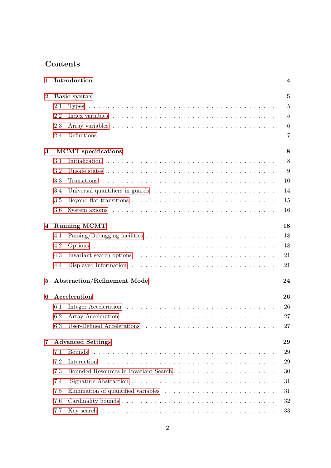## Contents

| 1              |     | Introduction                       | $\overline{\mathbf{4}}$ |
|----------------|-----|------------------------------------|-------------------------|
| $\bf{2}$       |     | Basic syntax                       | $\overline{5}$          |
|                | 2.1 |                                    | 5                       |
|                | 2.2 |                                    | $\overline{5}$          |
|                | 2.3 |                                    | $\boldsymbol{6}$        |
|                | 2.4 |                                    | $\overline{7}$          |
| $\bf{3}$       |     | <b>MCMT</b> specifications         | 8                       |
|                | 3.1 |                                    | 8                       |
|                | 3.2 |                                    | 9                       |
|                | 3.3 |                                    | 10                      |
|                | 3.4 |                                    | 14                      |
|                | 3.5 |                                    | 15                      |
|                | 3.6 |                                    | 16                      |
| $\overline{4}$ |     | <b>Running MCMT</b>                | 18                      |
|                | 4.1 |                                    | 18                      |
|                | 4.2 |                                    | 18                      |
|                | 4.3 |                                    | 21                      |
|                | 4.4 |                                    | 21                      |
| $\bf{5}$       |     | <b>Abstraction/Refinement Mode</b> | 24                      |
| 6              |     | Acceleration                       | 26                      |
|                | 6.1 |                                    | 26                      |
|                | 6.2 |                                    | 27                      |
|                |     | 6.3 User-Defined Accelerations     | 27                      |
| $\overline{7}$ |     | <b>Advanced Settings</b>           | 29                      |
|                | 7.1 | Bounds                             | 29                      |
|                | 7.2 | Interaction                        | 29                      |
|                | 7.3 |                                    | 30                      |
|                | 7.4 |                                    | 31                      |
|                | 7.5 |                                    | 31                      |
|                | 7.6 |                                    | 32                      |
|                | 7.7 |                                    | 33                      |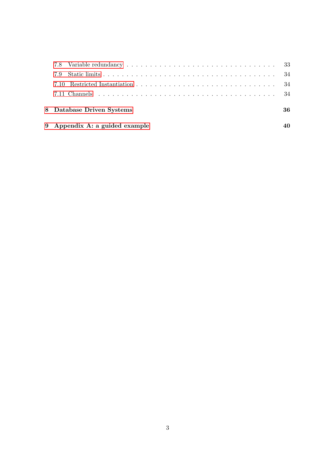| 9 Appendix A: a guided example | 40 |
|--------------------------------|----|
| 8 Database Driven Systems      | 36 |
|                                |    |
|                                |    |
|                                |    |
|                                |    |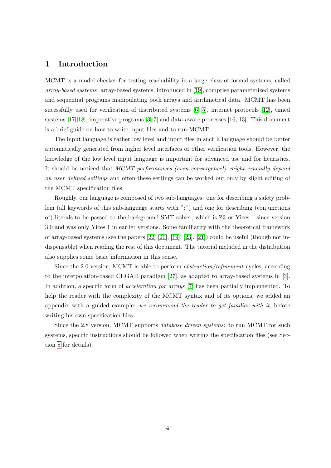### <span id="page-4-0"></span>1 Introduction

MCMT is a model checker for testing reachability in a large class of formal systems, called array-based systems; array-based systems, introduced in [\[19\]](#page-46-0), comprise parameterized systems and sequential programs manipulating both arrays and arithmetical data. MCMT has been sucessfully used for verification of distributed systems [\[6,](#page-45-0) [5\]](#page-45-1), internet protocols [\[12\]](#page-45-2), timed systems [\[17,](#page-46-1) [18\]](#page-46-2), imperative programs [\[3,](#page-45-3) [7\]](#page-45-4) and data-aware processes [\[16,](#page-46-3) [13\]](#page-46-4). This document is a brief guide on how to write input files and to run MCMT.

The input language is rather low level and input files in such a language should be better automatically generated from higher level interfaces or other verification tools. However, the knowledge of the low level input language is important for advanced use and for heuristics. It should be noticed that MCMT performances (even convergence!) might crucially depend on user defined settings and often these settings can be worked out only by slight editing of the MCMT specification files.

Roughly, our language is composed of two sub-languages: one for describing a safety problem (all keywords of this sub-language starts with ":") and one for describing (conjunctions of) literals to be passed to the background SMT solver, which is Z3 or Yices 1 since version 3.0 and was only Yices 1 in earlier versions. Some familiarity with the theoretical framework of array-based systems (see the papers  $[22],[20],[19],[23],[21])$  $[22],[20],[19],[23],[21])$  $[22],[20],[19],[23],[21])$  $[22],[20],[19],[23],[21])$  $[22],[20],[19],[23],[21])$  $[22],[20],[19],[23],[21])$  $[22],[20],[19],[23],[21])$  $[22],[20],[19],[23],[21])$  $[22],[20],[19],[23],[21])$  $[22],[20],[19],[23],[21])$  could be useful (though not indispensable) when reading the rest of this document. The tutorial included in the distribution also supplies some basic information in this sense.

Since the 2.0 version, MCMT is able to perform abstraction/refinement cycles, according to the interpolation-based CEGAR paradigm [\[27\]](#page-47-0), as adapted to array-based systems in [\[3\]](#page-45-3). In addition, a specific form of *acceleration for arrays* [\[7\]](#page-45-4) has been partially implemented. To help the reader with the complexity of the MCMT syntax and of its options, we added an appendix with a guided example: we recommend the reader to get familiar with it, before writing his own specification files.

Since the 2.8 version, MCMT supports database driven systems: to run MCMT for such systems, specific instructions should be followed when writing the specification files (see Section [8](#page-36-0) for details).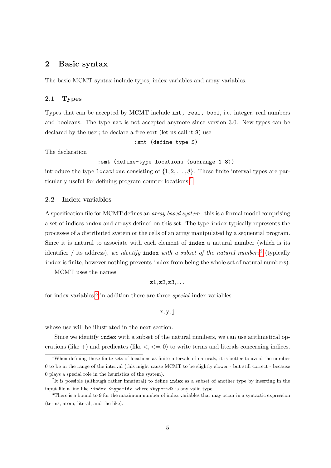### <span id="page-5-0"></span>2 Basic syntax

The basic MCMT syntax include types, index variables and array variables.

### <span id="page-5-1"></span>2.1 Types

Types that can be accepted by MCMT include int, real, bool, i.e. integer, real numbers and booleans. The type nat is not accepted anymore since version 3.0. New types can be declared by the user; to declare a free sort (let us call it S) use

:smt (define-type S)

The declaration

```
:smt (define-type locations (subrange 1 8))
```
introduce the type locations consisting of  $\{1, 2, \ldots, 8\}$ . These finite interval types are particularly useful for defining program counter locations.[1](#page-5-3)

### <span id="page-5-2"></span>2.2 Index variables

A specification file for MCMT defines an array based system: this is a formal model comprising a set of indices index and arrays defined on this set. The type index typically represents the processes of a distributed system or the cells of an array manipulated by a sequential program. Since it is natural to associate with each element of index a natural number (which is its identifier / its address), we identify index with a subset of the natural numbers<sup>[2](#page-5-4)</sup> (typically index is finite, however nothing prevents index from being the whole set of natural numbers).

MCMT uses the names

$$
\mathtt{z1},\mathtt{z2},\mathtt{z3},\ldots
$$

for index variables;<sup>[3](#page-5-5)</sup> in addition there are three *special* index variables

$$
\mathtt{x},\mathtt{y},\mathtt{j}
$$

whose use will be illustrated in the next section.

Since we identify index with a subset of the natural numbers, we can use arithmetical operations (like  $+)$  and predicates (like  $\lt$ ,  $\lt$  =, 0) to write terms and literals concerning indices.

<span id="page-5-3"></span><sup>&</sup>lt;sup>1</sup>When defining these finite sets of locations as finite intervals of naturals, it is better to avoid the number 0 to be in the range of the interval (this might cause MCMT to be slightly slower - but still correct - because 0 plays a special role in the heuristics of the system).

<span id="page-5-4"></span><sup>&</sup>lt;sup>2</sup>It is possible (although rather innatural) to define index as a subset of another type by inserting in the input file a line like :index <type-id>, where <type-id> is any valid type.

<span id="page-5-5"></span><sup>3</sup>There is a bound to 9 for the maximum number of index variables that may occur in a syntactic expression (terms, atom, literal, and the like).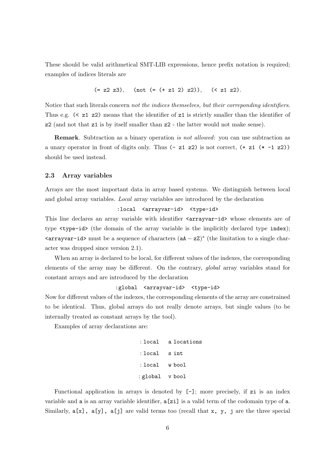These should be valid arithmetical SMT-LIB expressions, hence prefix notation is required; examples of indices literals are

$$
(= z2 z3),
$$
 (not  $(= (+ z1 2) z2)),$  ( $z1 z2).$ 

Notice that such literals concern not the indices themselves, but their correponding identifiers. Thus e.g.  $\leq z1$  z2) means that the identifier of z1 is strictly smaller than the identifier of z2 (and not that z1 is by itself smaller than z2 - the latter would not make sense).

Remark. Subtraction as a binary operation is not allowed: you can use subtraction as a unary operator in front of digits only. Thus  $(-z1 z2)$  is not correct,  $(+z1 (* -1 z2))$ should be used instead.

### <span id="page-6-0"></span>2.3 Array variables

Arrays are the most important data in array based systems. We distinguish between local and global array variables. Local array variables are introduced by the declaration

```
:local <arrayvar-id> <type-id>
```
This line declares an array variable with identifier  $\langle \text{arrayvar-id} \rangle$  whose elements are of type <type-id> (the domain of the array variable is the implicitly declared type index);  $\langle \text{arrayvar-id} \rangle$  must be a sequence of characters  $(aA - zZ)^*$  (the limitation to a single character was dropped since version 2.1).

When an array is declared to be local, for different values of the indexes, the corresponding elements of the array may be different. On the contrary, global array variables stand for constant arrays and are introduced by the declaration

### :global <arrayvar-id> <type-id>

Now for different values of the indexes, the corresponding elements of the array are constrained to be identical. Thus, global arrays do not really denote arrays, but single values (to be internally treated as constant arrays by the tool).

Examples of array declarations are:

: local a locations : local s int : local w bool : global v bool

Functional application in arrays is denoted by [-]; more precisely, if zi is an index variable and a is an array variable identifier, a[zi] is a valid term of the codomain type of a. Similarly,  $a[x]$ ,  $a[y]$ ,  $a[j]$  are valid terms too (recall that x, y, j are the three special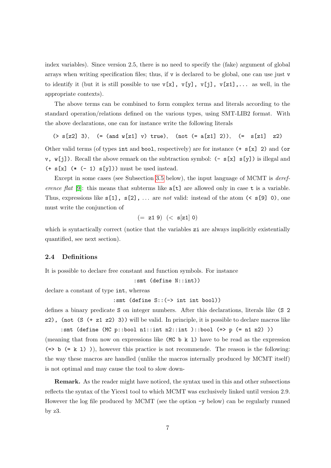index variables). Since version 2.5, there is no need to specify the (fake) argument of global arrays when writing specification files; thus, if  $\nu$  is declared to be global, one can use just  $\nu$ to identify it (but it is still possible to use  $v[x]$ ,  $v[y]$ ,  $v[j]$ ,  $v[z1]$ ,... as well, in the appropriate contexts).

The above terms can be combined to form complex terms and literals according to the standard operation/relations defined on the various types, using SMT-LIB2 format. With the above declarations, one can for instance write the following literals

 $(>\s2z]$  3),  $(=\text{and }w[z1]$  v) true),  $(\text{not } (=a[z1] 2))$ ,  $(=\s2z]$   $= z2)$ Other valid terms (of types int and bool, respectively) are for instance  $(+ s[x] 2)$  and (or  $v, w[j]$ ). Recall the above remark on the subtraction symbol:  $(-s[x] s[y])$  is illegal and  $(+ s[x] (* (-1) s[y]))$  must be used instead.

Except in some cases (see Subsection [3.5](#page-15-0) below), the input language of MCMT is *deref-*erence flat [\[9\]](#page-45-5): this means that subterms like  $\alpha[t]$  are allowed only in case t is a variable. Thus, expressions like  $s[1]$ ,  $s[2]$ , ... are not valid: instead of the atom (<  $s[9]$  0), one must write the conjunction of

$$
(= z1 9) (< s[z1] 0)
$$

which is syntactically correct (notice that the variables  $zi$  are always implicitly existentially quantified, see next section).

### <span id="page-7-0"></span>2.4 Definitions

It is possible to declare free constant and function symbols. For instance

:smt (define N::int))

declare a constant of type int, whereas

:smt (define S::(-> int int bool))

defines a binary predicate S on integer numbers. After this declarations, literals like (S 2  $z2$ ), (not (S (+  $z1$   $z2$ ) 3)) will be valid. In principle, it is possible to declare macros like

:smt (define (MC p::bool n1::int n2::int )::bool (=> p (= n1 n2) )) (meaning that from now on expressions like  $(MC b k 1)$  have to be read as the expression  $(=)$  b  $(= k 1)$ ), however this practice is not recommende. The reason is the following: the way these macros are handled (unlike the macros internally produced by MCMT itself) is not optimal and may cause the tool to slow down-

Remark. As the reader might have noticed, the syntax used in this and other subsections reflects the syntax of the Yices1 tool to which MCMT was exclusively linked until version 2.9. However the log file produced by MCMT (see the option -y below) can be regularly runned by z3.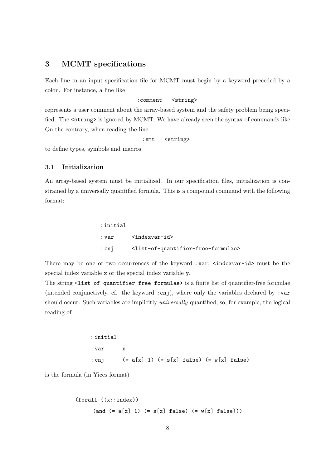### <span id="page-8-0"></span>3 MCMT specifications

Each line in an input specification file for MCMT must begin by a keyword preceded by a colon. For instance, a line like

### :comment <string>

represents a user comment about the array-based system and the safety problem being specified. The <string> is ignored by MCMT. We have already seen the syntax of commands like On the contrary, when reading the line

:smt <string>

to define types, symbols and macros.

### <span id="page-8-1"></span>3.1 Initialization

An array-based system must be initialized. In our specification files, initialization is constrained by a universally quantified formula. This is a compound command with the following format:

| :initial |                                                                       |
|----------|-----------------------------------------------------------------------|
| : var    | $\langle$ indexvar-id $\rangle$                                       |
| : cnj    | <list-of-quantifier-free-formulae></list-of-quantifier-free-formulae> |

There may be one or two occurrences of the keyword :var;  $\langle$ indexvar-id> must be the special index variable x or the special index variable y.

The string <list-of-quantifier-free-formulae> is a finite list of quantifier-free formulae (intended conjunctively, cf. the keyword  $:cnj$ ), where only the variables declared by  $:var$ should occur. Such variables are implicitly *universally* quantified, so, for example, the logical reading of

```
: initial
: var x
: cnj (= a[x] 1) (= s[x] false) (= w[x] false)
```
is the formula (in Yices format)

```
(forall ((x::index))
     (and (= a[x] 1) (= s[x] false) (= w[x] false)))
```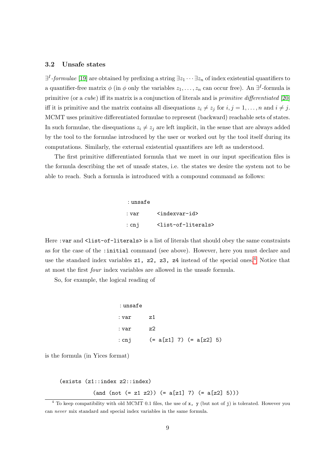### <span id="page-9-0"></span>3.2 Unsafe states

 $\exists^{I}$ -formulae [\[19\]](#page-46-0) are obtained by prefixing a string  $\exists z_1 \cdots \exists z_n$  of index existential quantifiers to a quantifier-free matrix  $\phi$  (in  $\phi$  only the variables  $z_1, \ldots, z_n$  can occur free). An  $\exists^I$ -formula is primitive (or a *cube*) iff its matrix is a conjunction of literals and is *primitive differentiated* [\[20\]](#page-46-6) iff it is primitive and the matrix contains all disequations  $z_i \neq z_j$  for  $i, j = 1, \ldots, n$  and  $i \neq j$ . MCMT uses primitive differentiated formulae to represent (backward) reachable sets of states. In such formulae, the disequations  $z_i \neq z_j$  are left implicit, in the sense that are always added by the tool to the formulae introduced by the user or worked out by the tool itself during its computations. Similarly, the external existential quantifiers are left as understood.

The first primitive differentiated formula that we meet in our input specification files is the formula describing the set of unsafe states, i.e. the states we desire the system not to be able to reach. Such a formula is introduced with a compound command as follows:

> : unsafe : var <indexvar-id> : cnj <list-of-literals>

Here : var and <list-of-literals> is a list of literals that should obey the same constraints as for the case of the :initial command (see above). However, here you must declare and use the standard index variables  $z1$ ,  $z2$ ,  $z3$ ,  $z4$  $z4$  instead of the special ones.<sup>4</sup> Notice that at most the first four index variables are allowed in the unsafe formula.

So, for example, the logical reading of

| :unsafe |    |                           |  |
|---------|----|---------------------------|--|
| : var   | z1 |                           |  |
| : var   | z2 |                           |  |
| : cnj   |    | $(= a[z1] 7) (= a[z2] 5)$ |  |

is the formula (in Yices format)

```
(exists (z1::index z2::index)
```
 $(and (not (= z1 z2)) (= a[z1] 7) (= a[z2] 5)))$ 

<span id="page-9-1"></span> $4$  To keep compatibility with old MCMT 0.1 files, the use of x, y (but not of j) is tolerated. However you can never mix standard and special index variables in the same formula.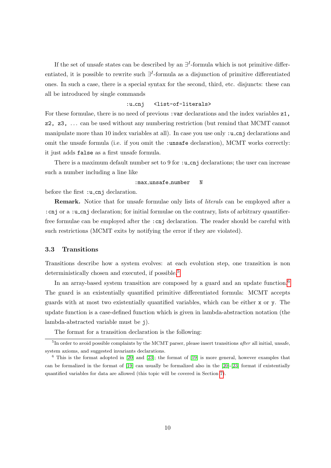If the set of unsafe states can be described by an  $\exists^{I}$ -formula which is not primitive differentiated, it is possible to rewrite such  $\exists^{I}$ -formula as a disjunction of primitive differentiated ones. In such a case, there is a special syntax for the second, third, etc. disjuncts: these can all be introduced by single commands

### :u\_cnj <list-of-literals>

For these formulae, there is no need of previous : var declarations and the index variables  $z1$ , z2, z3, . . . can be used without any numbering restriction (but remind that MCMT cannot manipulate more than 10 index variables at all). In case you use only  $:u$ -cnj declarations and omit the unsafe formula (i.e. if you omit the :unsafe declaration), MCMT works correctly: it just adds false as a first unsafe formula.

There is a maximum default number set to 9 for  $:u\_{cnj}$  declarations; the user can increase such a number including a line like

### :max\_unsafe\_number N

before the first : u\_cnj declaration.

Remark. Notice that for unsafe formulae only lists of literals can be employed after a :cnj or a :u cnj declaration; for initial formulae on the contrary, lists of arbitrary quantifierfree formulae can be employed after the :cnj declaration. The reader should be careful with such restrictions (MCMT exits by notifying the error if they are violated).

### <span id="page-10-0"></span>3.3 Transitions

Transitions describe how a system evolves: at each evolution step, one transition is non deterministically chosen and executed, if possible.<sup>[5](#page-10-1)</sup>

In an array-based system transition are composed by a guard and an update function.<sup>[6](#page-10-2)</sup> The guard is an existentially quantified primitive differentiated formula: MCMT accepts guards with at most two existentially quantified variables, which can be either x or y. The update function is a case-defined function which is given in lambda-abstraction notation (the lambda-abstracted variable must be j).

<span id="page-10-1"></span>The format for a transition declaration is the following:

 ${}^{5}$ In order to avoid possible complaints by the MCMT parser, please insert transitions *after* all initial, unsafe, system axioms, and suggested invariants declarations.

<span id="page-10-2"></span> $6$  This is the format adopted in [\[20\]](#page-46-6) and [\[23\]](#page-46-7); the format of [\[19\]](#page-46-0) is more general, however examples that can be formalized in the format of [\[19\]](#page-46-0) can usually be formalized also in the [\[20\]](#page-46-6)-[\[23\]](#page-46-7) format if existentially quantified variables for data are allowed (this topic will be covered in Section [7\)](#page-29-0).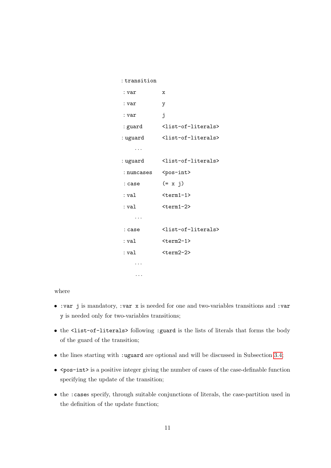| : transition |                                       |
|--------------|---------------------------------------|
| : var        | х                                     |
| : var        | у                                     |
| : var        | j                                     |
| : guard      | <list-of-literals></list-of-literals> |
| : uguard     | <list-of-literals></list-of-literals> |
| .            |                                       |
| : uguard     | <list-of-literals></list-of-literals> |
| : numcases   | <pos-int></pos-int>                   |
| : case       | $(= x j)$                             |
| : val        | $<$ term $1-1$ >                      |
| : val        | $\text{term1-2}$                      |
| .            |                                       |
| : case       | <list-of-literals></list-of-literals> |
| : val        | $<$ term $2-1$ >                      |
| : val        | $<$ term $2-2$                        |
| .            |                                       |
|              |                                       |

where

- :var j is mandatory, :var x is needed for one and two-variables transitions and :var y is needed only for two-variables transitions;
- the <list-of-literals> following :guard is the lists of literals that forms the body of the guard of the transition;
- the lines starting with :uguard are optional and will be discussed in Subsection [3.4;](#page-14-0)
- <pos-int> is a positive integer giving the number of cases of the case-definable function specifying the update of the transition;
- the :cases specify, through suitable conjunctions of literals, the case-partition used in the definition of the update function;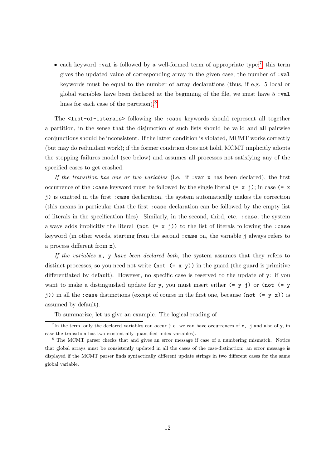• each keyword :val is followed by a well-formed term of appropriate type:<sup>[7](#page-12-0)</sup> this term gives the updated value of corresponding array in the given case; the number of :val keywords must be equal to the number of array declarations (thus, if e.g. 5 local or global variables have been declared at the beginning of the file, we must have  $5 \cdot \text{val}$ lines for each case of the partition).[8](#page-12-1)

The <list-of-literals> following the :case keywords should represent all together a partition, in the sense that the disjunction of such lists should be valid and all pairwise conjunctions should be inconsistent. If the latter condition is violated, MCMT works correctly (but may do redundant work); if the former condition does not hold, MCMT implicitly adopts the stopping failures model (see below) and assumes all processes not satisfying any of the specified cases to get crashed.

If the transition has one or two variables (i.e. if : var x has been declared), the first occurrence of the :case keyword must be followed by the single literal  $(= x j)$ ; in case  $(= x j)$ j) is omitted in the first :case declaration, the system automatically makes the correction (this means in particular that the first :case declaration can be followed by the empty list of literals in the specification files). Similarly, in the second, third, etc. :case, the system always adds implicitly the literal (not  $(= x j)$ ) to the list of literals following the :case keyword (in other words, starting from the second :case on, the variable j always refers to a process different from x).

If the variables  $x$ , y have been declared both, the system assumes that they refers to distinct processes, so you need not write (not  $(= x, y)$ ) in the guard (the guard is primitive differentiated by default). However, no specific case is reserved to the update of y: if you want to make a distinguished update for y, you must insert either  $(= y j)$  or (not  $(= y j)$ ) j)) in all the :case distinctions (except of course in the first one, because (not  $(= y x)$ ) is assumed by default).

<span id="page-12-0"></span>To summarize, let us give an example. The logical reading of

<sup>&</sup>lt;sup>7</sup>In the term, only the declared variables can occur (i.e. we can have occurrences of  $x$ , j and also of y, in case the transition has two existentially quantified index variables).

<span id="page-12-1"></span><sup>&</sup>lt;sup>8</sup> The MCMT parser checks that and gives an error message if case of a numbering mismatch. Notice that global arrays must be consistently updated in all the cases of the case-distinction: an error message is displayed if the MCMT parser finds syntactically different update strings in two different cases for the same global variable.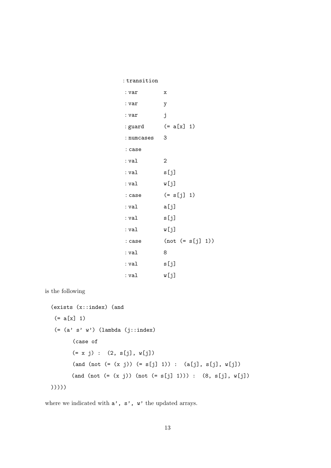| : transition |                    |
|--------------|--------------------|
| : var        | х                  |
| : var        | у                  |
| : var        | j                  |
| : guard      | $(= a[x] 1)$       |
| : numcases   | -3                 |
| : case       |                    |
| : val        | $\overline{2}$     |
| : val        | s[j]               |
| : val        | w[j]               |
| : case       | $(= s[j] 1)$       |
| : val        | a[j]               |
| : val        | s[j]               |
| : val        | w[j]               |
| : case       | $(not (= s[j] 1))$ |
| : val        | 8                  |
| : val        | s[j]               |
| : val        | w[j]               |

is the following

```
(exists (x::index) (and
 (= a[x] 1)(=(a' s' w') (lambda (j::index)
      (case of
      (= x j) : (2, s[j], w[j])(and (not (= (x j)) (= s[j] 1)) : (a[j], s[j], w[j])(and (not (=(x j)) (not (= s[j] 1))): (8, s[j], w[j]))))))
```
where we indicated with  $\mathtt{a}',\ \mathtt{s}'$  ,  $\mathtt{w}'$  the updated arrays.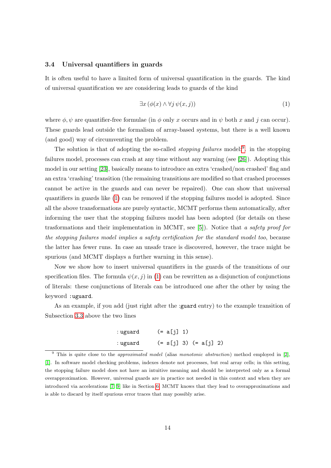### <span id="page-14-0"></span>3.4 Universal quantifiers in guards

It is often useful to have a limited form of universal quantification in the guards. The kind of universal quantification we are considering leads to guards of the kind

<span id="page-14-2"></span>
$$
\exists x \left( \phi(x) \land \forall j \, \psi(x, j) \right) \tag{1}
$$

where  $\phi$ ,  $\psi$  are quantifier-free formulae (in  $\phi$  only x occurs and in  $\psi$  both x and j can occur). These guards lead outside the formalism of array-based systems, but there is a well known (and good) way of circumventing the problem.

The solution is that of adopting the so-called *stopping failures* model:<sup>[9](#page-14-1)</sup>. in the stopping failures model, processes can crash at any time without any warning (see [\[26\]](#page-47-1)). Adopting this model in our setting [\[23\]](#page-46-7), basically means to introduce an extra 'crashed/non crashed' flag and an extra 'crashing' transition (the remaining transitions are modified so that crashed processes cannot be active in the guards and can never be repaired). One can show that universal quantifiers in guards like [\(1\)](#page-14-2) can be removed if the stopping failures model is adopted. Since all the above transformations are purely syntactic, MCMT performs them automatically, after informing the user that the stopping failures model has been adopted (for details on these trasformations and their implementation in MCMT, see [\[5\]](#page-45-1)). Notice that a safety proof for the stopping failures model implies a safety certification for the standard model too, because the latter has fewer runs. In case an unsafe trace is discovered, however, the trace might be spurious (and MCMT displays a further warning in this sense).

Now we show how to insert universal quantifiers in the guards of the transitions of our specification files. The formula  $\psi(x, j)$  in [\(1\)](#page-14-2) can be rewritten as a disjunction of conjunctions of literals: these conjunctions of literals can be introduced one after the other by using the keyword :uguard.

As an example, if you add (just right after the :guard entry) to the example transition of Subsection [3.3](#page-10-0) above the two lines

> : uguard  $(= a[i] 1)$ : uguard  $(= s[j] 3) (= a[j] 2)$

<span id="page-14-1"></span> $9$  This is quite close to the *approximated model* (alias *monotonic abstraction*) method employed in [\[2\]](#page-45-6), [\[1\]](#page-45-7). In software model checking problems, indexes denote not processes, but real array cells; in this setting, the stopping failure model does not have an intuitive meaning and should be interpreted only as a formal overapproximation. However, universal guards are in practice not needed in this context and when they are introduced via accelerations [\[7,](#page-45-4) [9\]](#page-45-5) like in Section [6,](#page-26-0) MCMT knows that they lead to overapproximations and is able to discard by itself spurious error traces that may possibly arise.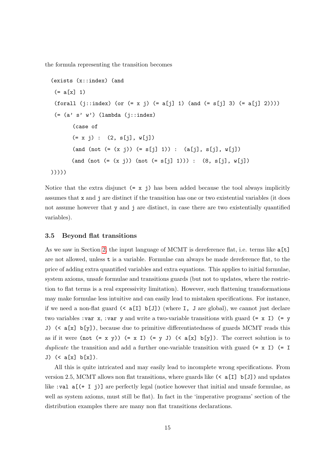the formula representing the transition becomes

```
(exists (x::index) (and
 (= a[x] 1)(forall (j::index) (or (= x j) (= a[j] 1) (and (= s[j] 3) (= a[j] 2))))(=(a' s' w') (lambda (j::index)
      (case of
      (= x j) : (2, s[i], w[i])(and (not (= (x i)) (= s[j] 1)) : (a[j], s[j], w[j])(and (not (=(x i)) (not (=(s i) 1))): (8, s[i], w[i]))))))
```
Notice that the extra disjunct  $(= x \, j)$  has been added because the tool always implicitly assumes that x and j are distinct if the transition has one or two existential variables (it does not assume however that y and j are distinct, in case there are two existentially quantified variables).

### <span id="page-15-0"></span>3.5 Beyond flat transitions

As we saw in Section [2,](#page-5-0) the input language of MCMT is dereference flat, i.e. terms like  $\mathsf{a[t]}$ are not allowed, unless t is a variable. Formulae can always be made dereference flat, to the price of adding extra quantified variables and extra equations. This applies to initial formulae, system axioms, unsafe formulae and transitions guards (but not to updates, where the restriction to flat terms is a real expressivity limitation). However, such flattening transformations may make formulae less intuitive and can easily lead to mistaken specifications. For instance, if we need a non-flat guard  $(\[I\] b\[J\]\)$  (where I, J are global), we cannot just declare two variables : var x, : var y and write a two-variable transitions with guard  $(= x I)$   $(= y$ J) (< a[x] b[y]), because due to primitive differentiatedness of guards MCMT reads this as if it were (not  $(= x y)$ )  $(= x I) (= y J)$   $(  $\alpha[x]$  b[y])$ . The correct solution is to duplicate the transition and add a further one-variable transition with guard  $(= x I)$   $(= I$ J) (< a[x] b[x]).

All this is quite intricated and may easily lead to incomplete wrong specifications. From version 2.5, MCMT allows non flat transitions, where guards like  $(\langle a[I] b[J])$  and updates like :val  $a((+ I j))$  are perfectly legal (notice however that initial and unsafe formulae, as well as system axioms, must still be flat). In fact in the 'imperative programs' section of the distribution examples there are many non flat transitions declarations.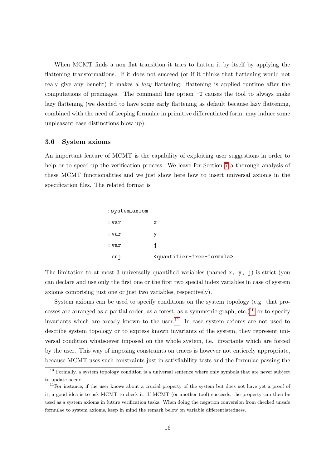When MCMT finds a non flat transition it tries to flatten it by itself by applying the flattening transformations. If it does not succeed (or if it thinks that flattening would not realy give any benefit) it makes a lazy flattening: flattening is applied runtime after the computations of preimages. The command line option -U causes the tool to always make lazy flattening (we decided to have some early flattening as default because lazy flattening, combined with the need of keeping formulae in primitive differentiated form, may induce some unpleasant case distinctions blow up).

#### <span id="page-16-0"></span>3.6 System axioms

An important feature of MCMT is the capability of exploiting user suggestions in order to help or to speed up the verification process. We leave for Section [7](#page-29-0) a thorough analysis of these MCMT functionalities and we just show here how to insert universal axioms in the specification files. The related format is

| : system_axiom |                                                     |
|----------------|-----------------------------------------------------|
| : var          | х                                                   |
| : var          | v                                                   |
| : var          | ı                                                   |
| $:$ cnj        | <quantifier-free-formula></quantifier-free-formula> |

The limitation to at most 3 universally quantified variables (named x, y, j) is strict (you can declare and use only the first one or the first two special index variables in case of system axioms comprising just one or just two variables, respectively).

System axioms can be used to specify conditions on the system topology (e.g. that pro-cesses are arranged as a partial order, as a forest, as a symmetric graph, etc.)<sup>[10](#page-16-1)</sup> or to specify invariants which are aready known to the user.<sup>[11](#page-16-2)</sup> In case system axioms are not used to describe system topology or to express known invariants of the system, they represent universal condition whatsoever imposed on the whole system, i.e. invariants which are forced by the user. This way of imposing constraints on traces is however not entierely appropriate, because MCMT uses such constraints just in satisfiability tests and the formulae passing the

<span id="page-16-1"></span><sup>&</sup>lt;sup>10</sup> Formally, a system topology condition is a universal sentence where only symbols that are never subject to update occur.

<span id="page-16-2"></span> $11$ For instance, if the user knows about a crucial property of the system but does not have yet a proof of it, a good idea is to ask MCMT to check it. If MCMT (or another tool) succeeds, the property can then be used as a system axioms in future verification tasks. When doing the negation conversion from checked unsafe formulae to system axioms, keep in mind the remark below on variable differentiatedness.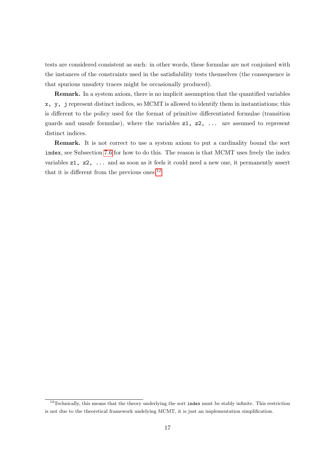tests are considered consistent as such: in other words, these formulae are not conjoined with the instances of the constraints used in the satisfiability tests themselves (the consequence is that spurious unsafety traces might be occasionally produced).

Remark. In a system axiom, there is no implicit assumption that the quantified variables x, y, j represent distinct indices, so MCMT is allowed to identify them in instantiations; this is different to the policy used for the format of primitive differentiated formulae (transition guards and unsafe formulae), where the variables  $z1, z2, \ldots$  are assumed to represent distinct indices.

Remark. It is not correct to use a system axiom to put a cardinality bound the sort index, see Subsection [7.6](#page-32-0) for how to do this. The reason is that MCMT uses freely the index variables z1, z2, ... and as soon as it feels it could need a new one, it permanently assert that it is different from the previous ones.<sup>[12](#page-17-0)</sup>

<span id="page-17-0"></span><sup>&</sup>lt;sup>12</sup>Technically, this means that the theory underlying the sort index must be stably infinite. This restriction is not due to the theoretical framework undelying MCMT, it is just an implementation simplification.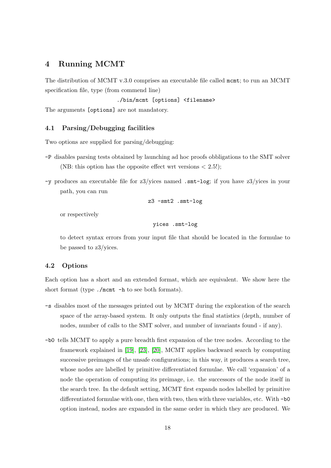### <span id="page-18-0"></span>4 Running MCMT

The distribution of MCMT v.3.0 comprises an executable file called mcmt; to run an MCMT specification file, type (from commend line)

./bin/mcmt [options] <filename>

The arguments [options] are not mandatory.

### <span id="page-18-1"></span>4.1 Parsing/Debugging facilities

Two options are supplied for parsing/debugging:

- -P disables parsing tests obtained by launching ad hoc proofs obbligations to the SMT solver (NB: this option has the opposite effect wrt versions  $\langle 2.5! \rangle$ ;
- -y produces an executable file for z3/yices named .smt-log; if you have z3/yices in your path, you can run

z3 -smt2 .smt-log

or respectively

yices .smt-log

to detect syntax errors from your input file that should be located in the formulae to be passed to z3/yices.

### <span id="page-18-2"></span>4.2 Options

Each option has a short and an extended format, which are equivalent. We show here the short format (type ./mcmt -h to see both formats).

- -s disables most of the messages printed out by MCMT during the exploration of the search space of the array-based system. It only outputs the final statistics (depth, number of nodes, number of calls to the SMT solver, and number of invariants found - if any).
- -b0 tells MCMT to apply a pure breadth first expansion of the tree nodes. According to the framework explained in [\[19\]](#page-46-0), [\[23\]](#page-46-7), [\[20\]](#page-46-6), MCMT applies backward search by computing successive preimages of the unsafe configurations; in this way, it produces a search tree, whose nodes are labelled by primitive differentiated formulae. We call 'expansion' of a node the operation of computing its preimage, i.e. the successors of the node itself in the search tree. In the default setting, MCMT first expands nodes labelled by primitive differentiated formulae with one, then with two, then with three variables, etc. With -b0 option instead, nodes are expanded in the same order in which they are produced. We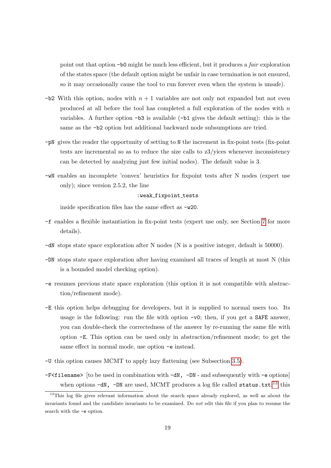point out that option -b0 might be much less efficient, but it produces a fair exploration of the states space (the default option might be unfair in case termination is not ensured, so it may occasionally cause the tool to run forever even when the system is unsafe).

- $-b2$  With this option, nodes with  $n + 1$  variables are not only not expanded but not even produced at all before the tool has completed a full exploration of the nodes with n variables. A further option -b3 is available (-b1 gives the default setting): this is the same as the -b2 option but additional backward node subsumptions are tried.
- -pN gives the reader the opportunity of setting to N the increment in fix-point tests (fix-point tests are incremental so as to reduce the size calls to z3/yices whenever inconsistency can be detected by analyzing just few initial nodes). The default value is 3.
- -wN enables an incomplete 'convex' heuristics for fixpoint tests after N nodes (expert use only); since version 2.5.2, the line

:weak\_fixpoint\_tests

inside specification files has the same effect as -w20.

- -f enables a flexible instantiation in fix-point tests (expert use only, see Section [7](#page-29-0) for more details).
- -dN stops state space exploration after N nodes (N is a positive integer, default is 50000).
- -DN stops state space exploration after having examined all traces of length at most N (this is a bounded model checking option).
- -e resumes previous state space exploration (this option it is not compatible with abstraction/refinement mode).
- -E this option helps debugging for developers, but it is supplied to normal users too. Its usage is the following: run the file with option -v0; then, if you get a SAFE answer, you can double-check the correctedness of the answer by re-running the same file with option -E. This option can be used only in abstraction/refinement mode; to get the same effect in normal mode, use option -e instead.
- -U this option causes MCMT to apply lazy flattening (see Subsection [3.5\)](#page-15-0).
- $-F5$ filename> [to be used in combination with  $-dN$ ,  $-DN$  and subsequently with  $-e$  options] when options  $-dN$ ,  $-DN$  are used, MCMT produces a log file called status.txt:<sup>[13](#page-19-0)</sup> this

<span id="page-19-0"></span><sup>&</sup>lt;sup>13</sup>This log file gives relevant information about the search space already explored, as well as about the invariants found and the candidate invariants to be examined. Do not edit this file if you plan to resume the search with the -e option.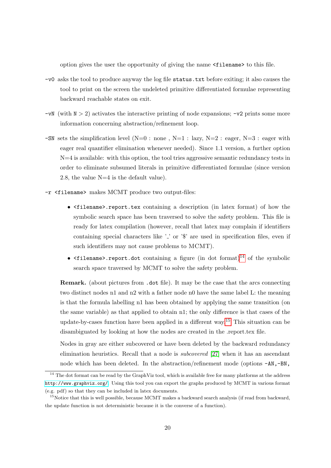option gives the user the opportunity of giving the name <filename> to this file.

- -v0 asks the tool to produce anyway the log file status.txt before exiting; it also causes the tool to print on the screen the undeleted primitive differentiated formulae representing backward reachable states on exit.
- $-vN$  (with  $N > 2$ ) activates the interactive printing of node expansions;  $-v2$  prints some more information concerning abstraction/refinement loop.
- -SN sets the simplification level  $(N=0 : none, N=1 : lazy, N=2 : eager, N=3 : eager with$ eager real quantifier elimination whenever needed). Since 1.1 version, a further option  $N=4$  is available: with this option, the tool tries aggressive semantic redundancy tests in order to eliminate subsumed literals in primitive differentiated formulae (since version 2.8, the value N=4 is the default value).
- -r <filename> makes MCMT produce two output-files:
	- <filename>.report.tex containing a description (in latex format) of how the symbolic search space has been traversed to solve the safety problem. This file is ready for latex compilation (however, recall that latex may complain if identifiers containing special characters like  $\cdot$  ' or '\$' are used in specification files, even if such identifiers may not cause problems to MCMT).
	- $\epsilon$  ilename>.report.dot containing a figure (in dot format)<sup>[14](#page-20-0)</sup> of the symbolic search space traversed by MCMT to solve the safety problem.

Remark. (about pictures from .dot file). It may be the case that the arcs connecting two distinct nodes n1 and n2 with a father node n0 have the same label L: the meaning is that the formula labelling n1 has been obtained by applying the same transition (on the same variable) as that applied to obtain n1; the only difference is that cases of the update-by-cases function have been applied in a different way.[15](#page-20-1) This situation can be disambiguated by looking at how the nodes are created in the .report.tex file.

Nodes in gray are either subcovered or have been deleted by the backward redundancy elimination heuristics. Recall that a node is subcovered [\[27\]](#page-47-0) when it has an ascendant node which has been deleted. In the abstraction/refinement mode (options -AN,-BN,

<span id="page-20-0"></span><sup>&</sup>lt;sup>14</sup> The dot format can be read by the GraphViz tool, which is available free for many platforms at the address <http://www.graphviz.org/>. Using this tool you can export the graphs produced by MCMT in various format (e.g. pdf) so that they can be included in latex documents.

<span id="page-20-1"></span><sup>&</sup>lt;sup>15</sup>Notice that this is well possible, because MCMT makes a backward search analysis (if read from backward, the update function is not deterministic because it is the converse of a function).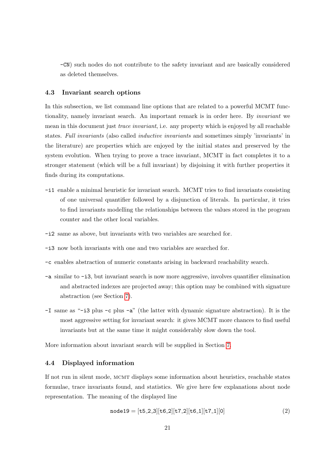-CN) such nodes do not contribute to the safety invariant and are basically considered as deleted themselves.

### <span id="page-21-0"></span>4.3 Invariant search options

In this subsection, we list command line options that are related to a powerful MCMT functionality, namely invariant search. An important remark is in order here. By invariant we mean in this document just *trace invariant*, i.e. any property which is enjoyed by all reachable states. Full invariants (also called inductive invariants and sometimes simply 'invariants' in the literature) are properties which are enjoyed by the initial states and preserved by the system evolution. When trying to prove a trace invariant, MCMT in fact completes it to a stronger statement (which will be a full invariant) by disjoining it with further properties it finds during its computations.

- -i1 enable a minimal heuristic for invariant search. MCMT tries to find invariants consisting of one universal quantifier followed by a disjunction of literals. In particular, it tries to find invariants modelling the relationships between the values stored in the program counter and the other local variables.
- -i2 same as above, but invariants with two variables are searched for.
- -i3 now both invariants with one and two variables are searched for.
- -c enables abstraction of numeric constants arising in backward reachability search.
- -a similar to -i3, but invariant search is now more aggressive, involves quantifier elimination and abstracted indexes are projected away; this option may be combined with signature abstraction (see Section [7\)](#page-29-0).
- -I same as "-i3 plus -c plus -a" (the latter with dynamic signature abstraction). It is the most aggressive setting for invariant search: it gives MCMT more chances to find useful invariants but at the same time it might considerably slow down the tool.

More information about invariant search will be supplied in Section [7.](#page-29-0)

### <span id="page-21-1"></span>4.4 Displayed information

If not run in silent mode, mcmt displays some information about heuristics, reachable states formulae, trace invariants found, and statistics. We give here few explanations about node representation. The meaning of the displayed line

<span id="page-21-2"></span>
$$
node19 = [t5_2_3][t6_2][t7_2][t6_1][t7_1][0]
$$
\n(2)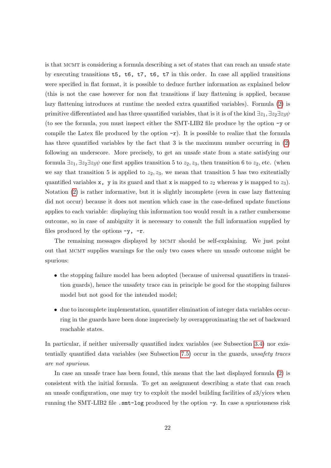is that mcmt is considering a formula describing a set of states that can reach an unsafe state by executing transitions t5, t6, t7, t6, t7 in this order. In case all applied transitions were specified in flat format, it is possible to deduce further information as explained below (this is not the case however for non flat transitions if lazy flattening is applied, because lazy flattening introduces at runtime the needed extra quantified variables). Formula [\(2\)](#page-21-2) is primitive differentiated and has three quantified variables, that is it is of the kind  $\exists z_1, \exists z_2 \exists z_3 \psi$ (to see the formula, you must inspect either the SMT-LIB2 file produce by the option -y or compile the Latex file produced by the option  $-r$ ). It is possible to realize that the formula has three quantified variables by the fact that 3 is the maximum number occurring in [\(2\)](#page-21-2) following an underscore. More precisely, to get an unsafe state from a state satisfying our formula  $\exists z_1, \exists z_2 \exists z_3 \psi$  one first applies transition 5 to  $z_2, z_3$ , then transition 6 to  $z_2$ , etc. (when we say that transition 5 is applied to  $z_2, z_3$ , we mean that transition 5 has two exitentially quantified variables  $x$ ,  $y$  in its guard and that  $x$  is mapped to  $z_2$  whereas  $y$  is mapped to  $z_3$ ). Notation [\(2\)](#page-21-2) is rather informative, but it is slightly incomplete (even in case lazy flattening did not occur) because it does not mention which case in the case-defined update functions applies to each variable: displaying this information too would result in a rather cumbersome outcome, so in case of ambiguity it is necessary to consult the full information supplied by files produced by the options  $-y$ ,  $-r$ .

The remaining messages displayed by MCMT should be self-explaining. We just point out that mcmt supplies warnings for the only two cases where un unsafe outcome might be spurious:

- the stopping failure model has been adopted (because of universal quantifiers in transition guards), hence the unsafety trace can in principle be good for the stopping failures model but not good for the intended model;
- due to incomplete implementation, quantifier elimination of integer data variables occurring in the guards have been done imprecisely by overapproximating the set of backward reachable states.

In particular, if neither universally quantified index variables (see Subsection [3.4\)](#page-14-0) nor existentially quantified data variables (see Subsection [7.5\)](#page-31-1) occur in the guards, unsafety traces are not spurious.

In case an unsafe trace has been found, this means that the last displayed formula [\(2\)](#page-21-2) is consistent with the initial formula. To get an assignment describing a state that can reach an unsafe configuration, one may try to exploit the model building facilities of z3/yices when running the SMT-LIB2 file .smt-log produced by the option -y. In case a spuriousness risk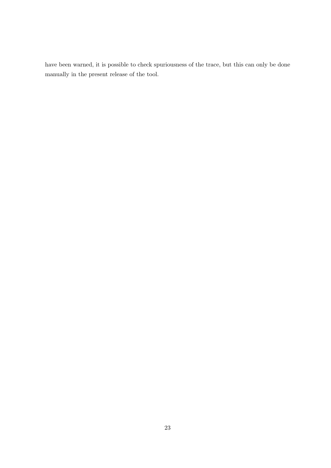have been warned, it is possible to check spuriousness of the trace, but this can only be done manually in the present release of the tool.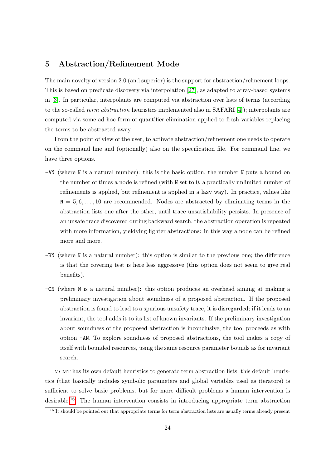### <span id="page-24-0"></span>5 Abstraction/Refinement Mode

The main novelty of version 2.0 (and superior) is the support for abstraction/refinement loops. This is based on predicate discovery via interpolation [\[27\]](#page-47-0), as adapted to array-based systems in [\[3\]](#page-45-3). In particular, interpolants are computed via abstraction over lists of terms (according to the so-called *term abstraction* heuristics implemented also in SAFARI [\[4\]](#page-45-8)); interpolants are computed via some ad hoc form of quantifier elimination applied to fresh variables replacing the terms to be abstracted away.

From the point of view of the user, to activate abstraction/refinement one needs to operate on the command line and (optionally) also on the specification file. For command line, we have three options.

- -AN (where N is a natural number): this is the basic option, the number N puts a bound on the number of times a node is refined (with N set to 0, a practically unlimited number of refinements is applied, but refinement is applied in a lazy way). In practice, values like  $N = 5, 6, \ldots, 10$  are recommended. Nodes are abstracted by eliminating terms in the abstraction lists one after the other, until trace unsatisfiability persists. In presence of an unsafe trace discovered during backward search, the abstraction operation is repeated with more information, yieldying lighter abstractions: in this way a node can be refined more and more.
- -BN (where N is a natural number): this option is similar to the previous one; the difference is that the covering test is here less aggressive (this option does not seem to give real benefits).
- -CN (where N is a natural number): this option produces an overhead aiming at making a preliminary investigation about soundness of a proposed abstraction. If the proposed abstraction is found to lead to a spurious unsafety trace, it is disregarded; if it leads to an invariant, the tool adds it to its list of known invariants. If the preliminary investigation about soundness of the proposed abstraction is inconclusive, the tool proceeds as with option -AN. To explore soundness of proposed abstractions, the tool makes a copy of itself with bounded resources, using the same resource parameter bounds as for invariant search.

mcmt has its own default heuristics to generate term abstraction lists; this default heuristics (that basically includes symbolic parameters and global variables used as iterators) is sufficient to solve basic problems, but for more difficult problems a human intervention is desirable.[16](#page-24-1) The human intervention consists in introducing appropriate term abstraction

<span id="page-24-1"></span> $\frac{16}{16}$  It should be pointed out that appropriate terms for term abstraction lists are usually terms already present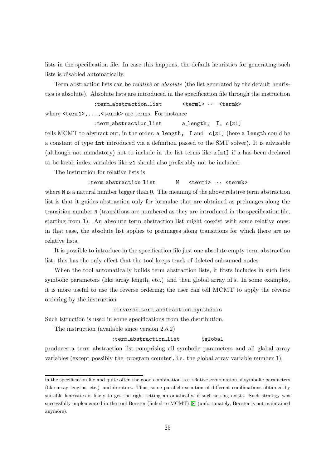lists in the specification file. In case this happens, the default heuristics for generating such lists is disabled automatically.

Term abstraction lists can be relative or absolute (the list generated by the default heuristics is absolute). Absolute lists are introduced in the specification file through the instruction

```
:term_abstraction_list <term1> \cdots <termk>
where \text{term1},..., \text{termk} are terms. For instance
```
:term abstraction list a length, I, c[z1]

tells MCMT to abstract out, in the order, a length, I and  $c[z1]$  (here a length could be a constant of type int introduced via a definition passed to the SMT solver). It is advisable (although not mandatory) not to include in the list terms like  $a[z1]$  if a has been declared to be local; index variables like z1 should also preferably not be included.

The instruction for relative lists is

### :term abstraction list N <term1> · · · <termk>

where N is a natural number bigger than 0. The meaning of the above relative term abstraction list is that it guides abstraction only for formulae that are obtained as preimages along the transition number N (transitions are numbered as they are introduced in the specification file, starting from 1). An absolute term abstraction list might coexist with some relative ones: in that case, the absolute list applies to preimages along transitions for which there are no relative lists.

It is possible to introduce in the specification file just one absolute empty term abstraction list: this has the only effect that the tool keeps track of deleted subsumed nodes.

When the tool automatically builds term abstraction lists, it firsts includes in such lists symbolic parameters (like array length, etc.) and then global array id's. In some examples, it is more useful to use the reverse ordering; the user can tell MCMT to apply the reverse ordering by the instruction

### :inverse term abstraction synthesis

Such istruction is used in some specifications from the distribution.

The instruction (available since version 2.5.2)

### :term\_abstraction\_list #global

produces a term abstraction list comprising all symbolic parameters and all global array variables (except possibly the 'program counter', i.e. the global array variable number 1).

in the specification file and quite often the good combination is a relative combination of symbolic parameters (like array lengths, etc.) and iterators. Thus, some parallel execution of different combinations obtained by suitable heuristics is likely to get the right setting automatically, if such setting exists. Such strategy was successfully implememted in the tool Booster (linked to MCMT) [\[8\]](#page-45-9) (unfortunately, Booster is not maintained anymore).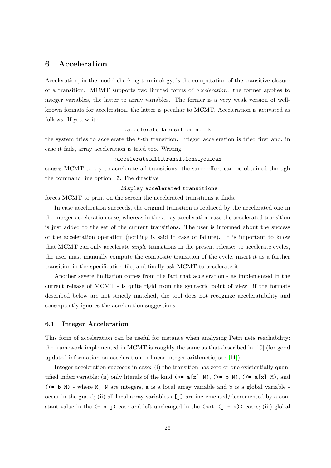### <span id="page-26-0"></span>6 Acceleration

Acceleration, in the model checking terminology, is the computation of the transitive closure of a transition. MCMT supports two limited forms of acceleration: the former applies to integer variables, the latter to array variables. The former is a very weak version of wellknown formats for acceleration, the latter is peculiar to MCMT. Acceleration is activated as follows. If you write

:accelerate\_transition\_n. k

the system tries to accelerate the  $k$ -th transition. Integer acceleration is tried first and, in case it fails, array acceleration is tried too. Writing

#### :accelerate all transitions you can

causes MCMT to try to accelerate all transitions; the same effect can be obtained through the command line option -Z. The directive

#### :display\_accelerated\_transitions

forces MCMT to print on the screen the accelerated transitions it finds.

In case acceleration succeeds, the original transition is replaced by the accelerated one in the integer acceleration case, whereas in the array acceleration case the accelerated transition is just added to the set of the current transitions. The user is informed about the success of the acceleration operation (nothing is said in case of failure). It is important to know that MCMT can only accelerate single transitions in the present release: to accelerate cycles, the user must manually compute the composite transition of the cycle, insert it as a further transition in the specification file, and finally ask MCMT to accelerate it.

Another severe limitation comes from the fact that acceleration - as implemented in the current release of MCMT - is quite rigid from the syntactic point of view: if the formats described below are not strictly matched, the tool does not recognize acceleratability and consequently ignores the acceleration suggestions.

### <span id="page-26-1"></span>6.1 Integer Acceleration

This form of acceleration can be useful for instance when analyzing Petri nets reachability: the framework implemented in MCMT is roughly the same as that described in [\[10\]](#page-45-10) (for good updated information on acceleration in linear integer arithmetic, see [\[11\]](#page-45-11)).

Integer acceleration succeeds in case: (i) the transition has zero or one existentially quantified index variable; (ii) only literals of the kind  $(>= a[x] N)$ ,  $(>= b N)$ ,  $(<= a[x] M)$ , and (<= b M) - where M, N are integers, a is a local array variable and b is a global variable occur in the guard; (ii) all local array variables  $a[j]$  are incremented/decremented by a constant value in the  $(= x j)$  case and left unchanged in the (not  $(j = x)$ ) cases; (iii) global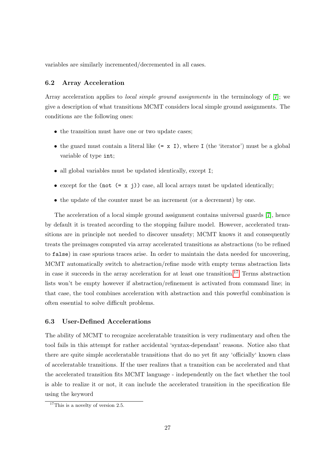variables are similarly incremented/decremented in all cases.

### <span id="page-27-0"></span>6.2 Array Acceleration

Array acceleration applies to *local simple ground assignments* in the terminology of [\[7\]](#page-45-4); we give a description of what transitions MCMT considers local simple ground assignments. The conditions are the following ones:

- the transition must have one or two update cases;
- the guard must contain a literal like  $(= x I)$ , where I (the 'iterator') must be a global variable of type int;
- all global variables must be updated identically, except I;
- except for the (not  $(= x j)$ ) case, all local arrays must be updated identically;
- the update of the counter must be an increment (or a decrement) by one.

The acceleration of a local simple ground assignment contains universal guards [\[7\]](#page-45-4), hence by default it is treated according to the stopping failure model. However, accelerated transitions are in principle not needed to discover unsafety; MCMT knows it and consequently treats the preimages computed via array accelerated transitions as abstractions (to be refined to false) in case spurious traces arise. In order to maintain the data needed for uncovering, MCMT automatically switch to abstraction/refine mode with empty terms abstraction lists in case it succeeds in the array acceleration for at least one transition.<sup>[17](#page-27-2)</sup> Terms abstraction lists won't be empty however if abstraction/refinement is activated from command line; in that case, the tool combines acceleration with abstraction and this powerful combination is often essential to solve difficult problems.

### <span id="page-27-1"></span>6.3 User-Defined Accelerations

The ability of MCMT to recognize acceleratable transition is very rudimentary and often the tool fails in this attempt for rather accidental 'syntax-dependant' reasons. Notice also that there are quite simple acceleratable transitions that do no yet fit any 'officially' known class of acceleratable transitions. If the user realizes that a transition can be accelerated and that the accelerated transition fits MCMT language - independently on the fact whether the tool is able to realize it or not, it can include the accelerated transition in the specification file using the keyword

<span id="page-27-2"></span> $17$ This is a novelty of version 2.5.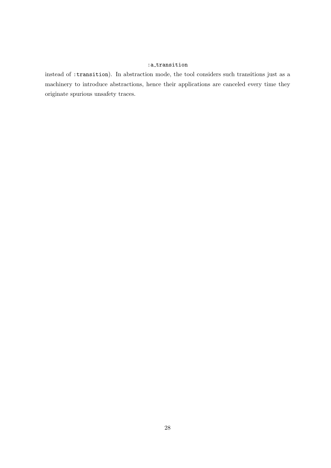### :a\_transition

instead of :transition). In abstraction mode, the tool considers such transitions just as a machinery to introduce abstractions, hence their applications are canceled every time they originate spurious unsafety traces.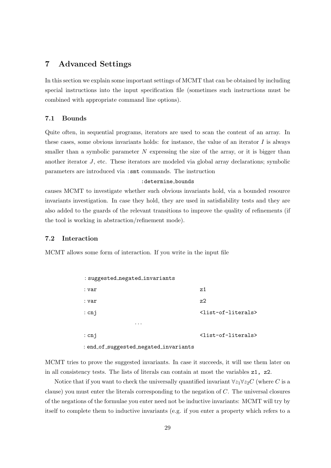### <span id="page-29-0"></span>7 Advanced Settings

In this section we explain some important settings of MCMT that can be obtained by including special instructions into the input specification file (sometimes such instructions must be combined with appropriate command line options).

### <span id="page-29-1"></span>7.1 Bounds

Quite often, in sequential programs, iterators are used to scan the content of an array. In these cases, some obvious invariants holds: for instance, the value of an iterator  $I$  is always smaller than a symbolic parameter  $N$  expressing the size of the array, or it is bigger than another iterator J, etc. These iterators are modeled via global array declarations; symbolic parameters are introduced via :smt commands. The instruction

### : determine\_bounds

causes MCMT to investigate whether such obvious invariants hold, via a bounded resource invariants investigation. In case they hold, they are used in satisfiability tests and they are also added to the guards of the relevant transitions to improve the quality of refinements (if the tool is working in abstraction/refinement mode).

### <span id="page-29-2"></span>7.2 Interaction

MCMT allows some form of interaction. If you write in the input file

| : suggested_negated_invariants        |                                       |
|---------------------------------------|---------------------------------------|
| : var                                 | 7.1                                   |
| : var                                 | z2                                    |
| : cnj                                 | <list-of-literals></list-of-literals> |
| .                                     |                                       |
| : $cnj$                               | <list-of-literals></list-of-literals> |
| : end_of_suggested_negated_invariants |                                       |

MCMT tries to prove the suggested invariants. In case it succeeds, it will use them later on in all consistency tests. The lists of literals can contain at most the variables z1, z2.

Notice that if you want to check the universally quantified invariant  $\forall z_1 \forall z_2 C$  (where C is a clause) you must enter the literals corresponding to the negation of C. The universal closures of the negations of the formulae you enter need not be inductive invariants: MCMT will try by itself to complete them to inductive invariants (e.g. if you enter a property which refers to a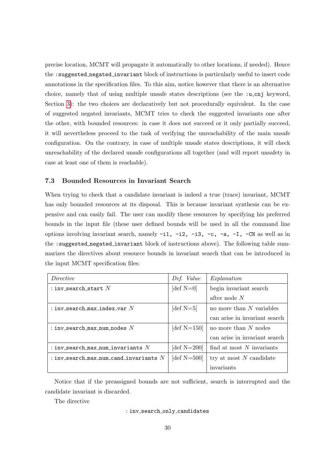precise location, MCMT will propagate it automatically to other locations, if needed). Hence the :suggested negated invariant block of instructions is particularly useful to insert code annotations in the specification files. To this aim, notice however that there is an alternative choice, namely that of using multiple unsafe states descriptions (see the :u\_cnj keyword, Section [3\)](#page-8-0): the two choices are declaratively but not procedurally equivalent. In the case of suggested negated invariants, MCMT tries to check the suggested invariants one after the other, with bounded resources: in case it does not succeed or it only partially succeed, it will nevertheless proceed to the task of verifying the unreachability of the main unsafe configuration. On the contrary, in case of multiple unsafe states descriptions, it will check unreachability of the declared unsafe configurations all together (and will report unsafety in case at least one of them is reachable).

### <span id="page-30-0"></span>7.3 Bounded Resources in Invariant Search

When trying to check that a candidate invariant is indeed a true (trace) invariant, MCMT has only bounded resources at its disposal. This is because invariant synthesis can be expensive and can easily fail. The user can modify these resources by specifying his preferred bounds in the input file (these user defined bounds will be used in all the command line options involving invariant search, namely -i1, -i2, -i3, -c, -a, -I, -CN as well as in the :suggested negated invariant block of instructions above). The following table summarizes the directives about resource bounds in invariant search that can be introduced in the input MCMT specification files:

| Directive                                | Def. Value     | Explanation                   |
|------------------------------------------|----------------|-------------------------------|
| : inv search start $N$                   | [def $N=0$ ]   | begin invariant search        |
|                                          |                | after node $N$                |
| : inv_search_max_index_var $N$           | [def $N=5$ ]   | no more than $N$ variables    |
|                                          |                | can arise in invariant search |
| : inv search max num nodes $N$           | [def $N=150$ ] | no more than $N$ nodes        |
|                                          |                | can arise in invariant search |
| : inv_search_max_num_invariants $N$      | [def $N=200$ ] | find at most $N$ invariants   |
| : inv_search_max_num_cand_invariants $N$ | [def $N=500$ ] | try at most $N$ candidate     |
|                                          |                | invariants                    |

Notice that if the preassigned bounds are not sufficient, search is interrupted and the candidate invariant is discarded.

The directive

#### : inv\_search\_only\_candidates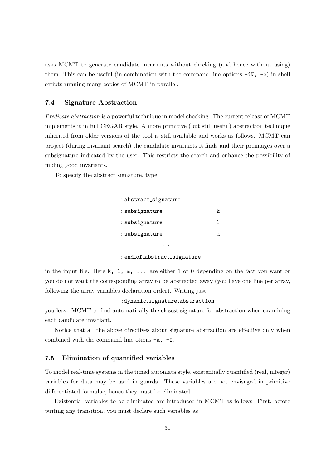asks MCMT to generate candidate invariants without checking (and hence without using) them. This can be useful (in combination with the command line options  $-dN$ ,  $-e$ ) in shell scripts running many copies of MCMT in parallel.

### <span id="page-31-0"></span>7.4 Signature Abstraction

Predicate abstraction is a powerful technique in model checking. The current release of MCMT implements it in full CEGAR style. A more primitive (but still useful) abstraction technique inherited from older versions of the tool is still available and works as follows. MCMT can project (during invariant search) the candidate invariants it finds and their preimages over a subsignature indicated by the user. This restricts the search and enhance the possibility of finding good invariants.

To specify the abstract signature, type

| : abstract_signature |   |
|----------------------|---|
| : subsignature       | k |
| : subsignature       |   |
| : subsignature       | m |
|                      |   |

#### : end\_of\_abstract\_signature

in the input file. Here k, l, m, ... are either 1 or 0 depending on the fact you want or you do not want the corresponding array to be abstracted away (you have one line per array, following the array variables declaration order). Writing just

#### :dynamic\_signature\_abstraction

you leave MCMT to find automatically the closest signature for abstraction when examining each candidate invariant.

Notice that all the above directives about signature abstraction are effective only when combined with the command line otions -a, -I.

### <span id="page-31-1"></span>7.5 Elimination of quantified variables

To model real-time systems in the timed automata style, existentially quantified (real, integer) variables for data may be used in guards. These variables are not envisaged in primitive differentiated formulae, hence they must be eliminated.

Existential variables to be eliminated are introduced in MCMT as follows. First, before writing any transition, you must declare such variables as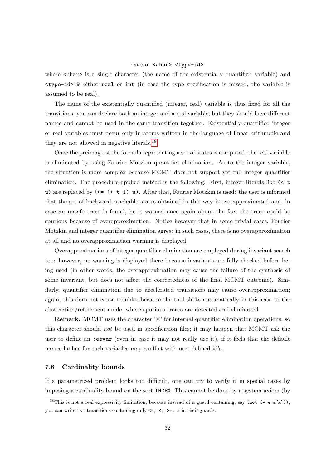#### :eevar <char> <type-id>

where  $\langle \text{char} \rangle$  is a single character (the name of the existentially quantified variable) and <type-id> is either real or int (in case the type specification is missed, the variable is assumed to be real).

The name of the existentially quantified (integer, real) variable is thus fixed for all the transitions; you can declare both an integer and a real variable, but they should have different names and cannot be used in the same transition together. Existentially quantified integer or real variables must occur only in atoms written in the language of linear arithmetic and they are not allowed in negative literals.[18](#page-32-1)

Once the preimage of the formula representing a set of states is computed, the real variable is eliminated by using Fourier Motzkin quantifier elimination. As to the integer variable, the situation is more complex because MCMT does not support yet full integer quantifier elimination. The procedure applied instead is the following. First, integer literals like  $\leq t$ u) are replaced by  $(\leq - \pm 1)$  u). After that, Fourier Motzkin is used: the user is informed that the set of backward reachable states obtained in this way is overapproximated and, in case an unsafe trace is found, he is warned once again about the fact the trace could be spurious because of overapproximation. Notice however that in some trivial cases, Fourier Motzkin and integer quantifier elimination agree: in such cases, there is no overapproximation at all and no overapproximation warning is displayed.

Overapproximations of integer quantifier elimination are employed during invariant search too: however, no warning is displayed there because invariants are fully checked before being used (in other words, the overapproximation may cause the failure of the synthesis of some invariant, but does not affect the correctedness of the final MCMT outcome). Similarly, quantifier elimination due to accelerated transitions may cause overapproximation; again, this does not cause troubles because the tool shifts automatically in this case to the abstraction/refinement mode, where spurious traces are detected and eliminated.

Remark. MCMT uses the character '@' for internal quantifier elimination operations, so this character should not be used in specification files; it may happen that MCMT ask the user to define an :eevar (even in case it may not really use it), if it feels that the default names he has for such variables may conflict with user-defined id's.

### <span id="page-32-0"></span>7.6 Cardinality bounds

If a parametrized problem looks too difficult, one can try to verify it in special cases by imposing a cardinality bound on the sort INDEX. This cannot be done by a system axiom (by

<span id="page-32-1"></span><sup>&</sup>lt;sup>18</sup>This is not a real expressivity limitation, because instead of a guard containing, say (not  $(= e a[x])$ ), you can write two transitions containing only  $\leq$ ,  $\leq$ ,  $\geq$ ,  $\geq$  in their guards.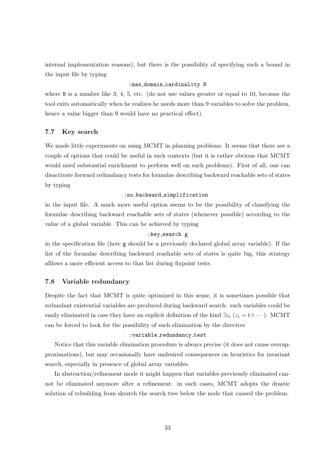internal implementation reasons), but there is the possibility of specifying such a bound in the input file by typing

### : max\_domain\_cardinality N

where N is a number like 3, 4, 5, etc. (do not use values greater or equal to 10, because the tool exits automatically when he realizes he needs more than 9 variables to solve the problem, hence a value bigger than 9 would have no practical effect).

### <span id="page-33-0"></span>7.7 Key search

We made little experiments on using MCMT in planning problems. It seems that there are a couple of options that could be useful in such contexts (but it is rather obvious that MCMT would need substantial enrichment to perform well on such problems). First of all, one can disactivate forward redundancy tests for formulae describing backward reachable sets of states by typing

### :no backward simplification

in the input file. A much more useful option seems to be the possibility of classifying the formulae describing backward reachable sets of states (whenever possible) according to the value of a global variable. This can be achieved by typing

### :key search g

in the specification file (here g should be a previously declared global array variable). If the list of the formulae describing backward reachable sets of states is quite big, this strategy alllows a more efficient access to that list during fixpoint tests.

### <span id="page-33-1"></span>7.8 Variable redundancy

Despite the fact that MCMT is quite optimized in this sense, it is sometimes possible that redundant existential variables are produced during backward search: such variables could be easily eliminated in case they have an explicit definition of the kind  $\exists z_i (z_i = t \land \cdots)$ . MCMT can be forced to look for the possibility of such elimination by the directive

#### : variable\_redundancy\_test

Notice that this variable elimination procedure is always precise (it does not cause overapproximations), but may occasionally have undesired consequences on heuristics for invariant search, especially in presence of global array variables.

In abstraction/refinement mode it might happen that variables previously eliminated cannot be eliminated anymore after a refinement: in such cases, MCMT adopts the drastic solution of rebuilding from skratch the search tree below the node that caused the problem.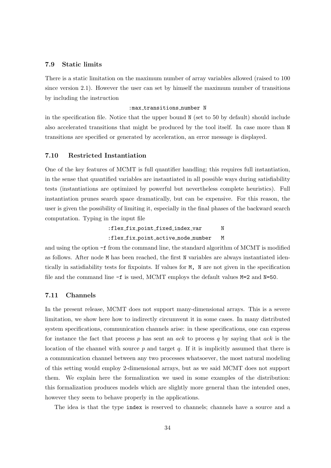### <span id="page-34-0"></span>7.9 Static limits

There is a static limitation on the maximum number of array variables allowed (raised to 100 since version 2.1). However the user can set by himself the maximum number of transitions by including the instruction

### :max transitions number N

in the specification file. Notice that the upper bound N (set to 50 by default) should include also accelerated transitions that might be produced by the tool itself. In case more than N transitions are specified or generated by acceleration, an error message is displayed.

### <span id="page-34-1"></span>7.10 Restricted Instantiation

One of the key features of MCMT is full quantifier handling; this requires full instantiation, in the sense that quantified variables are instantiated in all possible ways during satisfiability tests (instantiations are optimized by powerful but nevertheless complete heuristics). Full instantiation prunes search space dramatically, but can be expensive. For this reason, the user is given the possibility of limiting it, especially in the final phases of the backward search computation. Typing in the input file

> :flex\_fix\_point\_fixed\_index\_var N :flex fix point active node number M

and using the option -f from the command line, the standard algorithm of MCMT is modified as follows. After node M has been reached, the first N variables are always instantiated identically in satisfiability tests for fixpoints. If values for M, N are not given in the specification file and the command line  $-f$  is used, MCMT employs the default values  $M=2$  and  $N=50$ .

### <span id="page-34-2"></span>7.11 Channels

In the present release, MCMT does not support many-dimensional arrays. This is a severe limitation, we show here how to indirectly circumvent it in some cases. In many distributed system specifications, communication channels arise: in these specifications, one can express for instance the fact that process  $p$  has sent an  $ack$  to process  $q$  by saying that  $ack$  is the location of the channel with source  $p$  and target  $q$ . If it is implicitly assumed that there is a communication channel between any two processes whatsoever, the most natural modeling of this setting would employ 2-dimensional arrays, but as we said MCMT does not support them. We explain here the formalization we used in some examples of the distribution: this formalization produces models which are slightly more general than the intended ones, however they seem to behave properly in the applications.

The idea is that the type index is reserved to channels; channels have a source and a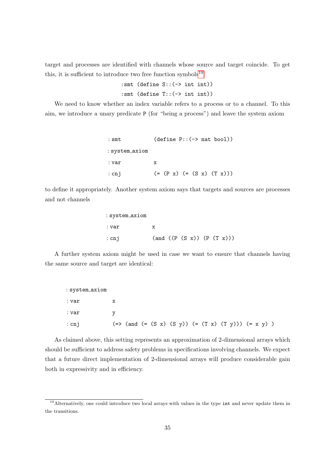target and processes are identified with channels whose source and target coincide. To get this, it is sufficient to introduce two free function symbols<sup>[19](#page-35-0)</sup>

> :smt (define S::(-> int int)) :smt (define T::(-> int int))

We need to know whether an index variable refers to a process or to a channel. To this aim, we introduce a unary predicate P (for "being a process") and leave the system axiom

| : smt          | $(detine P::(-> nat bool))$ |
|----------------|-----------------------------|
| : system_axiom |                             |
| : var          | х                           |
| $:$ cnj        | $(=(P x) (=(S x) (T x)))$   |

to define it appropriately. Another system axiom says that targets and sources are processes and not channels

| : system_axiom |   |  |  |                                 |
|----------------|---|--|--|---------------------------------|
| : var          | x |  |  |                                 |
| $:$ cnj        |   |  |  | $($ and $((P (S x)) (P (T x)))$ |

A further system axiom might be used in case we want to ensure that channels having the same source and target are identical:

| : system_axiom |  |  |  |                                                       |  |
|----------------|--|--|--|-------------------------------------------------------|--|
| : var          |  |  |  |                                                       |  |
| : var          |  |  |  |                                                       |  |
| $:$ cnj        |  |  |  | $(=> (and (= (S x) (S y)) (= (T x) (T y))) (= x y) )$ |  |

As claimed above, this setting represents an approximation of 2-dimensional arrays which should be sufficient to address safety problems in specifications involving channels. We expect that a future direct implementation of 2-dimensional arrays will produce considerable gain both in expressivity and in efficiency.

<span id="page-35-0"></span><sup>19</sup>Alternatively, one could introduce two local arrays with values in the type int and never update them in the transitions.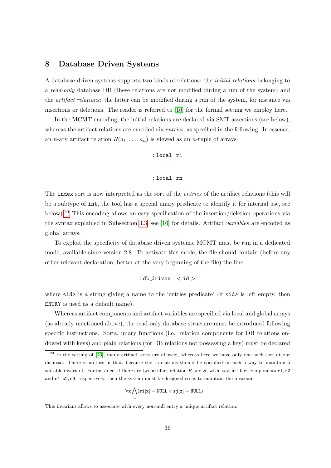### <span id="page-36-0"></span>8 Database Driven Systems

A database driven systems supports two kinds of relations: the initial relations belonging to a read-only database DB (these relations are not modified during a run of the system) and the *artifact relations*: the latter can be modified during a run of the system, for instance via insertions or deletions. The reader is referred to [\[16\]](#page-46-3) for the formal setting we employ here.

In the MCMT encoding, the initial relations are declared via SMT assertions (see below), whereas the artifact relations are encoded via *entries*, as specified in the following. In essence, an *n*-ary artifact relation  $R(a_1, \ldots, a_n)$  is viewed as an *n*-tuple of arrays

> : local r1 · · · : local rn

The index sort is now interpreted as the sort of the *entries* of the artifact relations (this will be a subtype of int, the tool has a special unary predicate to identify it for internal use, see below).<sup>[20](#page-36-1)</sup> This encoding allows an easy specification of the insertion/deletion operations via the syntax explained in Subsection [3.3,](#page-10-0) see [\[16\]](#page-46-3) for details. Artifact variables are encoded as global arrays.

To exploit the specificity of database driven systems, MCMT must be run in a dedicated mode, available since version 2.8. To activate this mode, the file should contain (before any other relevant declaration, better at the very beginning of the file) the line

$$
: \hbox{db\_driven} \quad < \hbox{id} >
$$

where  $\langle id \rangle$  is a string giving a name to the 'entries predicate' (if  $\langle id \rangle$  is left empty, then ENTRY is used as a default name).

Whereas artifact components and artifact variables are specified via local and global arrays (as already mentioned above), the read-only database structure must be introduced following specific instructions. Sorts, unary functions (i.e. relation components for DB relations endowed with keys) and plain relations (for DB relations not possessing a key) must be declared

$$
\forall \mathtt{x} \bigwedge_{i,j} (\mathtt{ri}[\mathtt{x}] = \mathtt{NULL} \vee \mathtt{s}\mathtt{j}[\mathtt{x}] = \mathtt{NULL}) \quad.
$$

This invariant allows to associate with every non-null entry a unique artifact relation.

<span id="page-36-1"></span> $^{20}$  In the setting of [\[16\]](#page-46-3), many artifact sorts are allowed, whereas here we have only one such sort at our disposal. There is no loss in that, because the transitions should be specified in such a way to maintain a suitable invariant. For instance, if there are two artifact relation R and S, with, say, artifact components  $r1, r2$ and s1, s2, s3, respectively, then the system must be designed so as to maintain the invariant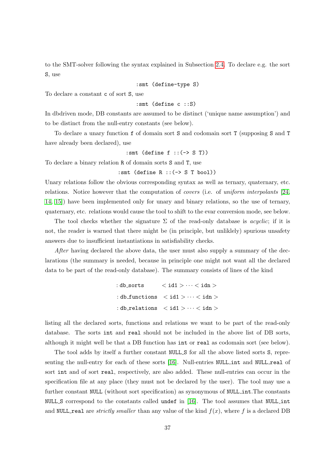to the SMT-solver following the syntax explained in Subsection [2.4.](#page-7-0) To declare e.g. the sort S, use

:smt (define-type S)

To declare a constant c of sort S, use

### :smt (define c ::S)

In dbdriven mode, DB constants are assumed to be distinct ('unique name assumption') and to be distinct from the null-entry constants (see below).

To declare a unary function f of domain sort S and codomain sort T (supposing S and T have already been declared), use

:smt (define f ::(-> S T))

To declare a binary relation R of domain sorts S and T, use

#### :smt (define R ::(-> S T bool))

Unary relations follow the obvious corresponding syntax as well as ternary, quaternary, etc. relations. Notice however that the computation of covers (i.e. of uniform interpolants [\[24,](#page-46-9) [14,](#page-46-10) [15\]](#page-46-11)) have been implemented only for unary and binary relations, so the use of ternary, quaternary, etc. relations would cause the tool to shift to the evar conversion mode, see below.

The tool checks whether the signature  $\Sigma$  of the read-only database is *acyclic*; if it is not, the reader is warned that there might be (in principle, but unliklely) spurious unsafety answers due to insufficient instantiations in satisfiability checks.

After having declared the above data, the user must also supply a summary of the declarations (the summary is needed, because in principle one might not want all the declared data to be part of the read-only database). The summary consists of lines of the kind

| :db_sorts | $\langle$ id1 $\rangle$ $\cdots$ $\langle$ idn $\rangle$                |
|-----------|-------------------------------------------------------------------------|
|           | : db_functions $\phi$ < id1 $> \cdots$ < idn $>$                        |
|           | : db_relations $\langle$ id1 $\rangle$ $\cdots$ $\langle$ idn $\rangle$ |

listing all the declared sorts, functions and relations we want to be part of the read-only database. The sorts int and real should not be included in the above list of DB sorts, although it might well be that a DB function has int or real as codomain sort (see below).

The tool adds by itself a further constant NULL S for all the above listed sorts S, repre-senting the null-entry for each of these sorts [\[16\]](#page-46-3). Null-entries NULL int and NULL real of sort int and of sort real, respectively, are also added. These null-entries can occur in the specification file at any place (they must not be declared by the user). The tool may use a further constant NULL (without sort specification) as synonymous of NULL int.The constants NULL S correspond to the constants called undef in [\[16\]](#page-46-3). The tool assumes that NULL int and NULL real are *strictly smaller* than any value of the kind  $f(x)$ , where f is a declared DB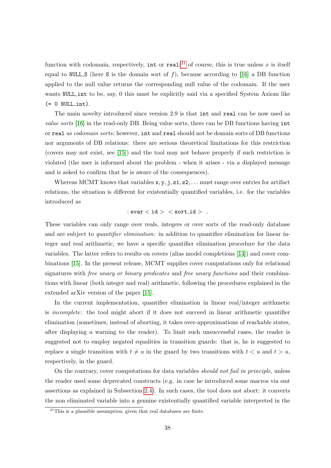function with codomain, respectively, int or real;<sup>[21](#page-38-0)</sup> of course, this is true unless x is itself equal to NULL S (here S is the domain sort of f), because according to [\[16\]](#page-46-3) a DB function applied to the null value returns the corresponding null value of the codomain. If the user wants NULL int to be, say, 0 this must be explicitly said via a specified System Axiom like  $(= 0$  NULL\_int).

The main novelty introduced since version 2.9 is that int and real can be now used as value sorts [\[16\]](#page-46-3) in the read-only DB. Being value sorts, there can be DB functions having int or real as codomain sorts; however, int and real should not be domain sorts of DB functions nor arguments of DB relations: there are serious theoretical limitations for this restriction (covers may not exist, see [\[15\]](#page-46-11)) and the tool may not behave properly if such restriction is violated (the user is informed about the problem - when it arises - via a displayed message and is asked to confirm that he is aware of the consequences).

Whereas MCMT knows that variables  $x, y, j, z1, z2, \ldots$  must range over entries for artifact relations, the situation is different for existentially quantified variables, i.e. for the variables introduced as

### :  $\text{evar} < \text{id} > \text{sort_id} > \text{.}$

These variables can only range over reals, integers or over sorts of the read-only database and are subject to *quantifier elimination*: in addition to quantifier elimination for linear integer and real arithmetic, we have a specific quantifier elimination procedure for the data variables. The latter refers to results on covers (alias model completions [\[14\]](#page-46-10)) and cover combinations [\[15\]](#page-46-11). In the present release, MCMT supplies cover computations only for relational signatures with free unary or binary predicates and free unary functions and their combinations with linear (both integer and real) arithmetic, following the procedures explained in the extended arXiv version of the paper [\[15\]](#page-46-11).

In the current implementation, quantifier elimination in linear real/integer arithmetic is incomplete: the tool might abort if it does not succeed in linear arithmetic quantifier elimination (sometimes, instead of aborting, it takes over-approximations of reachable states, after displaying a warning to the reader). To limit such unsuccessful cases, the reader is suggested not to employ negated equalities in transition guards: that is, he is suggested to replace a single transition with  $t \neq u$  in the guard by two transitions with  $t < u$  and  $t > u$ , respectively, in the guard.

On the contrary, cover computations for data variables should not fail in principle, unless the reader used some deprecated constructs (e.g. in case he introduced some macros via smt assertions as explained in Subsection [2.4\)](#page-7-0). In such cases, the tool does not abort: it converts the non eliminated variable into a genuine existentially quantified variable interpreted in the

<span id="page-38-0"></span> $^{21}$ This is a plausible assumption, given that real databases are finite.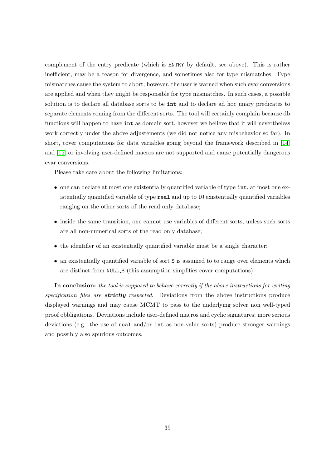complement of the entry predicate (which is ENTRY by default, see above). This is rather inefficient, may be a reason for divergence, and sometimes also for type mismatches. Type mismatches cause the system to abort; however, the user is warned when such evar conversions are applied and when they might be responsible for type mismatches. In such cases, a possible solution is to declare all database sorts to be int and to declare ad hoc unary predicates to separate elements coming from the different sorts. The tool will certainly complain because db functions will happen to have int as domain sort, however we believe that it will nevertheless work correctly under the above adjustements (we did not notice any misbehavior so far). In short, cover computations for data variables going beyond the framework described in [\[14\]](#page-46-10) and [\[15\]](#page-46-11) or involving user-defined macros are not supported and cause potentially dangerous evar conversions.

Please take care about the following limitations:

- one can declare at most one existentially quantified variable of type int, at most one existentially quantified variable of type real and up to 10 existentially quantified variables ranging on the other sorts of the read only database;
- inside the same transition, one cannot use variables of different sorts, unless such sorts are all non-numerical sorts of the read only database;
- the identifier of an existentially quantified variable must be a single character;
- an existentially quantified variable of sort S is assumed to to range over elements which are distinct from NULL S (this assumption simplifies cover computations).

In conclusion: the tool is supposed to behave correctly if the above instructions for writing specification files are **strictly** respected. Deviations from the above instructions produce displayed warnings and may cause MCMT to pass to the underlying solver non well-typed proof obbligations. Deviations include user-defined macros and cyclic signatures; more serious deviations (e.g. the use of real and/or int as non-value sorts) produce stronger warnings and possibly also spurious outcomes.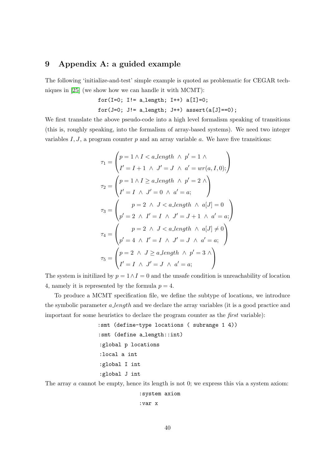### <span id="page-40-0"></span>9 Appendix A: a guided example

The following 'initialize-and-test' simple example is quoted as problematic for CEGAR techniques in [\[25\]](#page-46-12) (we show how we can handle it with MCMT):

$$
for(I=0; I!=a_length; I++) a[I]=0;
$$
  

$$
for(J=0; J!=a_length; J++) assert(a[J]=-0);
$$

We first translate the above pseudo-code into a high level formalism speaking of transitions (this is, roughly speaking, into the formalism of array-based systems). We need two integer variables  $I, J$ , a program counter  $p$  and an array variable  $a$ . We have five transitions:

$$
\tau_1 = \begin{pmatrix} p = 1 \land I < a \text{.length} \land p' = 1 \land \\ I' = I + 1 \land J' = J \land a' = wr(a, I, 0); \end{pmatrix}
$$
\n
$$
\tau_2 = \begin{pmatrix} p = 1 \land I \ge a \text{.length} \land p' = 2 \land \\ I' = I \land J' = 0 \land a' = a; \end{pmatrix}
$$
\n
$$
\tau_3 = \begin{pmatrix} p = 2 \land J < a \text{.length} \land a[J] = 0 \\ p' = 2 \land I' = I \land J' = J + 1 \land a' = a; \end{pmatrix}
$$
\n
$$
\tau_4 = \begin{pmatrix} p = 2 \land J < a \text{.length} \land a[J] \neq 0 \\ p' = 4 \land I' = I \land J' = J \land a' = a; \end{pmatrix}
$$
\n
$$
\tau_5 = \begin{pmatrix} p = 2 \land J \ge a \text{.length} \land p' = 3 \land \\ I' = I \land J' = J \land a' = a; \end{pmatrix}
$$

The system is initilized by  $p = 1 \wedge I = 0$  and the unsafe condition is unreachability of location 4, namely it is represented by the formula  $p = 4$ .

To produce a MCMT specification file, we define the subtype of locations, we introduce the symbolic parameter a length and we declare the array variables (it is a good practice and important for some heuristics to declare the program counter as the first variable):

> :smt (define-type locations ( subrange 1 4)) :smt (define a\_length::int) :global p locations :local a int :global I int :global J int

The array  $\alpha$  cannot be empty, hence its length is not 0; we express this via a system axiom:

:system axiom

```
:var x
```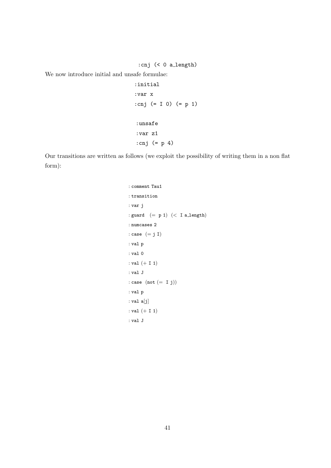:cnj (< 0 a length)

We now introduce initial and unsafe formulae:

```
:initial
:var x
:cnj (= I 0) (= p 1)
:unsafe
:var z1
:cnj (= p 4)
```
Our transitions are written as follows (we exploit the possibility of writing them in a non flat form):

```
: comment Tau1
: transition
: var j
: guard (= p 1) (< I allength)
: numcases 2
: case (= j I): val p
: val 0
: val (+ I 1)
: val J
: case (not (= I j)): val p
: val a[j]
: val (+ I 1)
: val J
```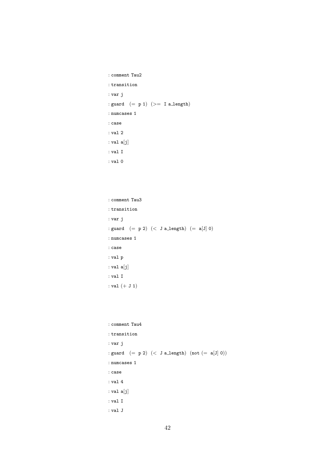```
: comment Tau2
: transition
: var j
: guard (= p 1) (>= I a.length): numcases 1
: case
: val 2
: val a[j]: val I
: val 0
```

```
: comment Tau3
: transition
: var j
: guard (= p 2) (<br> J a_length) (= a[J] 0): numcases 1
: case
: val p
: val a[j]: val I
: val (+ J 1)
```

```
: comment Tau4
: transition
: var j
: \texttt{guard} \;\; (= \; p \; 2) \;\; (< \; J \; \texttt{a.length}) \;\; (\texttt{not} \; (= \; a[J] \; 0)): numcases 1
: case
: val 4
: val a[j]
: val I
: val J
```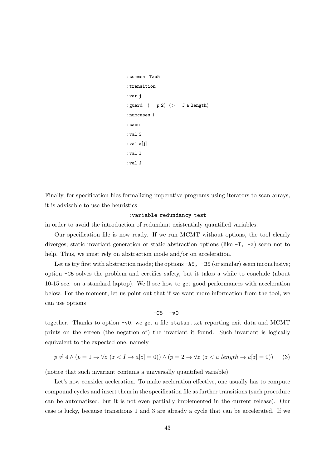```
: comment Tau5
: transition
: var j
: guard (= p 2) (>= J a_length): numcases 1
: case
: val 3
: val a[j]
: val I
: val J
```
Finally, for specification files formalizing imperative programs using iterators to scan arrays, it is advisable to use the heuristics

### : variable\_redundancy\_test

in order to avoid the introduction of redundant existentialy quantified variables.

Our specification file is now ready. If we run MCMT without options, the tool clearly diverges; static invariant generation or static abstraction options (like  $-I$ ,  $-a$ ) seem not to help. Thus, we must rely on abstraction mode and/or on acceleration.

Let us try first with abstraction mode; the options  $-AS$ ,  $-B5$  (or similar) seem inconclusive; option -C5 solves the problem and certifies safety, but it takes a while to conclude (about 10-15 sec. on a standard laptop). We'll see how to get good performances with acceleration below. For the moment, let us point out that if we want more information from the tool, we can use options

### <span id="page-43-0"></span> $-C5 - v0$

together. Thanks to option -v0, we get a file status.txt reporting exit data and MCMT prints on the screen (the negation of) the invariant it found. Such invariant is logically equivalent to the expected one, namely

$$
p \neq 4 \land (p = 1 \rightarrow \forall z \ (z < I \rightarrow a[z] = 0)) \land (p = 2 \rightarrow \forall z \ (z < a \text{.length} \rightarrow a[z] = 0)) \tag{3}
$$

(notice that such invariant contains a universally quantified variable).

Let's now consider aceleration. To make aceleration effective, one usually has to compute compound cycles and insert them in the specification file as further transitions (such procedure can be automatized, but it is not even partially implemented in the current release). Our case is lucky, because transitions 1 and 3 are already a cycle that can be accelerated. If we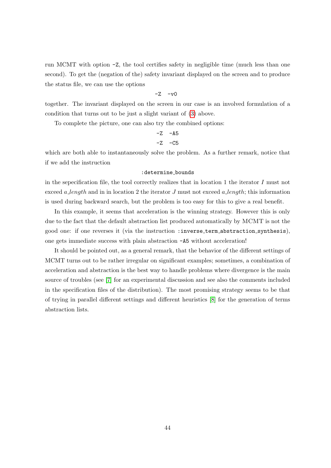run MCMT with option -Z, the tool certifies safety in negligible time (much less than one second). To get the (negation of the) safety invariant displayed on the screen and to produce the status file, we can use the options

$$
-Z - v0
$$

together. The invariant displayed on the screen in our case is an involved formulation of a condition that turns out to be just a slight variant of [\(3\)](#page-43-0) above.

To complete the picture, one can also try the combined options:

$$
-Z - A5
$$
  

$$
-Z - C5
$$

which are both able to instantaneously solve the problem. As a further remark, notice that if we add the instruction

#### : determine\_bounds

in the sepecification file, the tool correctly realizes that in location 1 the iterator  $I$  must not exceed a length and in in location 2 the iterator J must not exceed a length; this information is used during backward search, but the problem is too easy for this to give a real benefit.

In this example, it seems that acceleration is the winning strategy. However this is only due to the fact that the default abstraction list produced automatically by MCMT is not the good one: if one reverses it (via the instruction :inverse term abstraction synthesis), one gets immediate success with plain abstraction -A5 without acceleration!

It should be pointed out, as a general remark, that the behavior of the different settings of MCMT turns out to be rather irregular on significant examples; sometimes, a combination of acceleration and abstraction is the best way to handle problems where divergence is the main source of troubles (see [\[7\]](#page-45-4) for an experimental discussion and see also the comments included in the specification files of the distribution). The most promising strategy seems to be that of trying in parallel different settings and different heuristics [\[8\]](#page-45-9) for the generation of terms abstraction lists.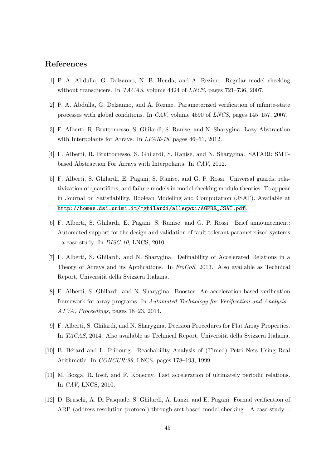### References

- <span id="page-45-7"></span>[1] P. A. Abdulla, G. Delzanno, N. B. Henda, and A. Rezine. Regular model checking without transducers. In TACAS, volume 4424 of LNCS, pages 721–736, 2007.
- <span id="page-45-6"></span>[2] P. A. Abdulla, G. Delzanno, and A. Rezine. Parameterized verification of infinite-state processes with global conditions. In CAV, volume 4590 of LNCS, pages 145–157, 2007.
- <span id="page-45-3"></span>[3] F. Alberti, R. Bruttomesso, S. Ghilardi, S. Ranise, and N. Sharygina. Lazy Abstraction with Interpolants for Arrays. In LPAR-18, pages 46–61, 2012.
- <span id="page-45-8"></span>[4] F. Alberti, R. Bruttomesso, S. Ghilardi, S. Ranise, and N. Sharygina. SAFARI: SMTbased Abstraction For Arrays with Interpolants. In CAV, 2012.
- <span id="page-45-1"></span>[5] F. Alberti, S. Ghilardi, E. Pagani, S. Ranise, and G. P. Rossi. Universal guards, relativization of quantifiers, and failure models in model checking modulo theories. To appear in Journal on Satisfiability, Boolean Modeling and Computation (JSAT). Available at [http://homes.dsi.unimi.it/~ghilardi/allegati/AGPRR\\_JSAT.pdf](http://homes.dsi.unimi.it/~ghilardi/allegati/AGPRR_JSAT.pdf).
- <span id="page-45-0"></span>[6] F. Alberti, S. Ghilardi, E. Pagani, S. Ranise, and G. P. Rossi. Brief announcement: Automated support for the design and validation of fault tolerant parameterized systems - a case study. In DISC 10, LNCS, 2010.
- <span id="page-45-4"></span>[7] F. Alberti, S. Ghilardi, and N. Sharygina. Definability of Accelerated Relations in a Theory of Arrays and its Applications. In FroCoS, 2013. Also available as Technical Report, Universit`a della Svizzera Italiana.
- <span id="page-45-9"></span>[8] F. Alberti, S. Ghilardi, and N. Sharygina. Booster: An acceleration-based verification framework for array programs. In Automated Technology for Verification and Analysis - ATVA, Proceedings, pages 18–23, 2014.
- <span id="page-45-5"></span>[9] F. Alberti, S. Ghilardi, and N. Sharygina. Decision Procedures for Flat Array Properties. In TACAS, 2014. Also available as Technical Report, Università della Svizzera Italiana.
- <span id="page-45-10"></span>[10] B. Bérard and L. Fribourg. Reachability Analysis of (Timed) Petri Nets Using Real Arithmetic. In CONCUR'99, LNCS, pages 178–193, 1999.
- <span id="page-45-11"></span>[11] M. Bozga, R. Iosif, and F. Konecny. Fast acceleration of ultimately periodic relations. In CAV, LNCS, 2010.
- <span id="page-45-2"></span>[12] D. Bruschi, A. Di Pasquale, S. Ghilardi, A. Lanzi, and E. Pagani. Formal verification of ARP (address resolution protocol) through smt-based model checking - A case study -.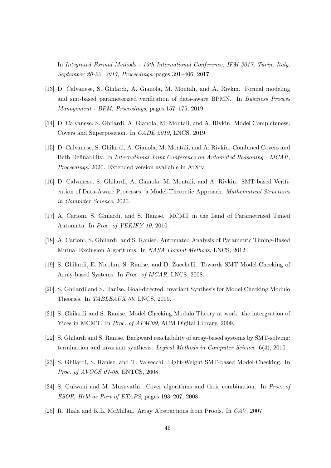In Integrated Formal Methods - 13th International Conference, IFM 2017, Turin, Italy, September 20-22, 2017, Proceedings, pages 391–406, 2017.

- <span id="page-46-4"></span>[13] D. Calvanese, S. Ghilardi, A. Gianola, M. Montali, and A. Rivkin. Formal modeling and smt-based parameterized verification of data-aware BPMN. In Business Process Management - BPM, Proceedings, pages 157–175, 2019.
- <span id="page-46-10"></span>[14] D. Calvanese, S. Ghilardi, A. Gianola, M. Montali, and A. Rivkin. Model Completeness, Covers and Superposition. In CADE 2019, LNCS, 2019.
- <span id="page-46-11"></span>[15] D. Calvanese, S. Ghilardi, A. Gianola, M. Montali, and A. Rivkin. Combined Covers and Beth Definability. In International Joint Conference on Automated Reasoning - IJCAR, Proceedings, 2020. Extended version available in ArXiv.
- <span id="page-46-3"></span>[16] D. Calvanese, S. Ghilardi, A. Gianola, M. Montali, and A. Rivkin. SMT-based Verification of Data-Aware Processes: a Model-Theoretic Approach. Mathematical Structures in Computer Science, 2020.
- <span id="page-46-1"></span>[17] A. Carioni, S. Ghilardi, and S. Ranise. MCMT in the Land of Parametrized Timed Automata. In Proc. of VERIFY 10, 2010.
- <span id="page-46-2"></span>[18] A. Carioni, S. Ghilardi, and S. Ranise. Automated Analysis of Parametric Timing-Based Mutual Exclusion Algorithms. In NASA Formal Methods, LNCS, 2012.
- <span id="page-46-0"></span>[19] S. Ghilardi, E. Nicolini, S. Ranise, and D. Zucchelli. Towards SMT Model-Checking of Array-based Systems. In Proc. of IJCAR, LNCS, 2008.
- <span id="page-46-6"></span>[20] S. Ghilardi and S. Ranise. Goal-directed Invariant Synthesis for Model Checking Modulo Theories. In TABLEAUX'09, LNCS, 2009.
- <span id="page-46-8"></span>[21] S. Ghilardi and S. Ranise. Model Checking Modulo Theory at work: the intergration of Yices in MCMT. In *Proc. of AFM'09*, ACM Digital Library, 2009.
- <span id="page-46-5"></span>[22] S. Ghilardi and S. Ranise. Backward reachability of array-based systems by SMT-solving: termination and invariant synthesis. Logical Methods in Computer Science, 6(4), 2010.
- <span id="page-46-7"></span>[23] S. Ghilardi, S. Ranise, and T. Valsecchi. Light-Weight SMT-based Model-Checking. In Proc. of AVOCS 07-08, ENTCS, 2008.
- <span id="page-46-9"></span>[24] S. Gulwani and M. Musuvathi. Cover algorithms and their combination. In Proc. of ESOP, Held as Part of ETAPS, pages 193–207, 2008.
- <span id="page-46-12"></span>[25] R. Jhala and K.L. McMillan. Array Abstractions from Proofs. In CAV, 2007.